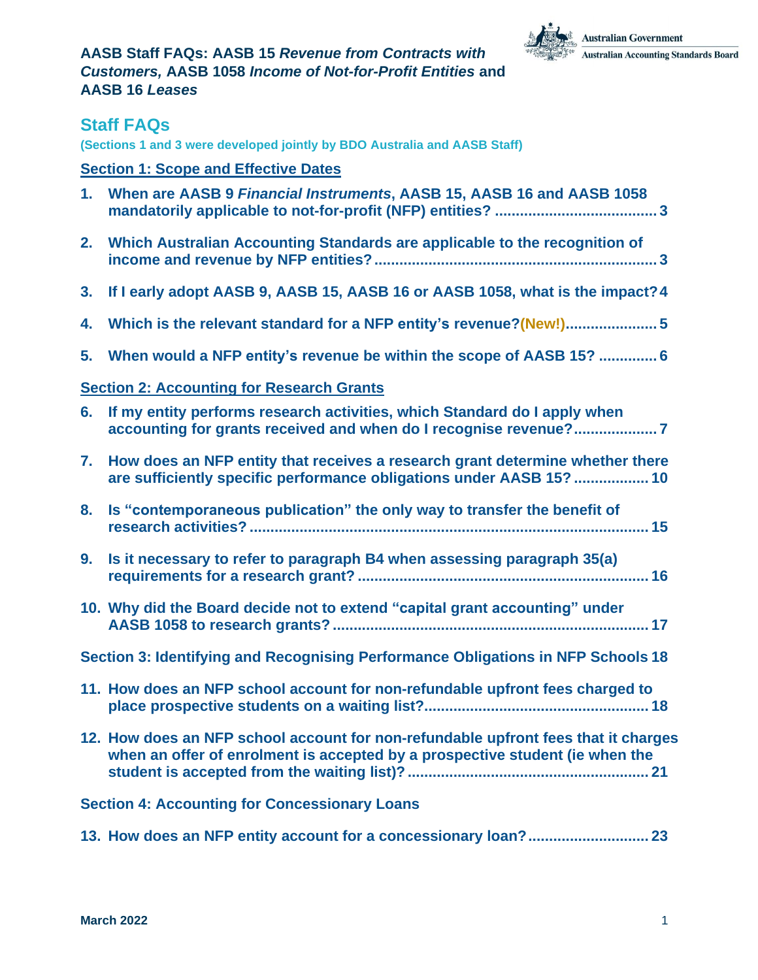

### <span id="page-0-0"></span>**Staff FAQs**

**(Sections 1 and 3 were developed jointly by BDO Australia and AASB Staff)**

### **Section 1: Scope and [Effective](#page-2-0) Dates**

| When are AASB 9 Financial Instruments, AASB 15, AASB 16 and AASB 1058 |
|-----------------------------------------------------------------------|
|                                                                       |

- **2. Which Australian [Accounting](#page-2-2) Standards are applicable to the recognition of income and revenue by NFP [entities?....................................................................](#page-2-2) 3**
- **3. If I early adopt AASB 9, AASB 15, AASB 16 or AASB 1058, what is the [impact?4](#page-3-0)**
- **4. Which is the relevant standard for a NFP entity's [revenue?\(New!\)......................](#page-4-0) 5**
- **5. When would a NFP entity's revenue be within the scope of AASB 15? [..............](#page-5-0) 6**

### **Section 2: [Accounting](#page-6-0) for Research Grants**

|                                                                                  | 6. If my entity performs research activities, which Standard do I apply when<br>accounting for grants received and when do I recognise revenue?7                   |  |  |
|----------------------------------------------------------------------------------|--------------------------------------------------------------------------------------------------------------------------------------------------------------------|--|--|
| 7.                                                                               | How does an NFP entity that receives a research grant determine whether there<br>are sufficiently specific performance obligations under AASB 15?  10              |  |  |
| 8.                                                                               | Is "contemporaneous publication" the only way to transfer the benefit of                                                                                           |  |  |
| 9.                                                                               | Is it necessary to refer to paragraph B4 when assessing paragraph 35(a)                                                                                            |  |  |
|                                                                                  | 10. Why did the Board decide not to extend "capital grant accounting" under                                                                                        |  |  |
| Section 3: Identifying and Recognising Performance Obligations in NFP Schools 18 |                                                                                                                                                                    |  |  |
|                                                                                  | 11. How does an NFP school account for non-refundable upfront fees charged to                                                                                      |  |  |
|                                                                                  | 12. How does an NFP school account for non-refundable upfront fees that it charges<br>when an offer of enrolment is accepted by a prospective student (ie when the |  |  |
| <b>Section 4: Accounting for Concessionary Loans</b>                             |                                                                                                                                                                    |  |  |
|                                                                                  |                                                                                                                                                                    |  |  |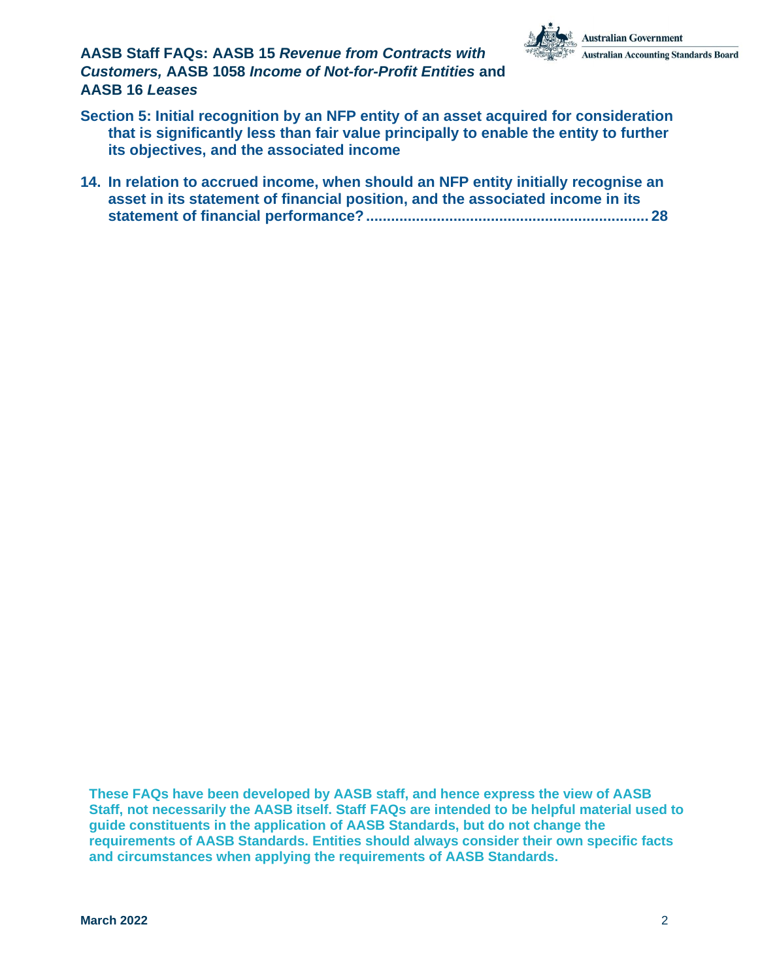

- **Section 5: Initial recognition by an NFP entity of an asset acquired for [consideration](#page-26-0) that is [significantly](#page-26-0) less than fair value principally to enable the entity to further its objectives, and the [associated](#page-26-0) income**
- **14. In relation to accrued income, when should an NFP entity initially [recognise](#page-27-0) an asset in its statement of financial position, and the [associated](#page-27-0) income in its statement of financial [performance?....................................................................](#page-27-0) 28**

**These FAQs have been developed by AASB staff, and hence express the view of AASB Staff, not necessarily the AASB itself. Staff FAQs are intended to be helpful material used to guide constituents in the application of AASB Standards, but do not change the requirements of AASB Standards. Entities should always consider their own specific facts and circumstances when applying the requirements of AASB Standards.**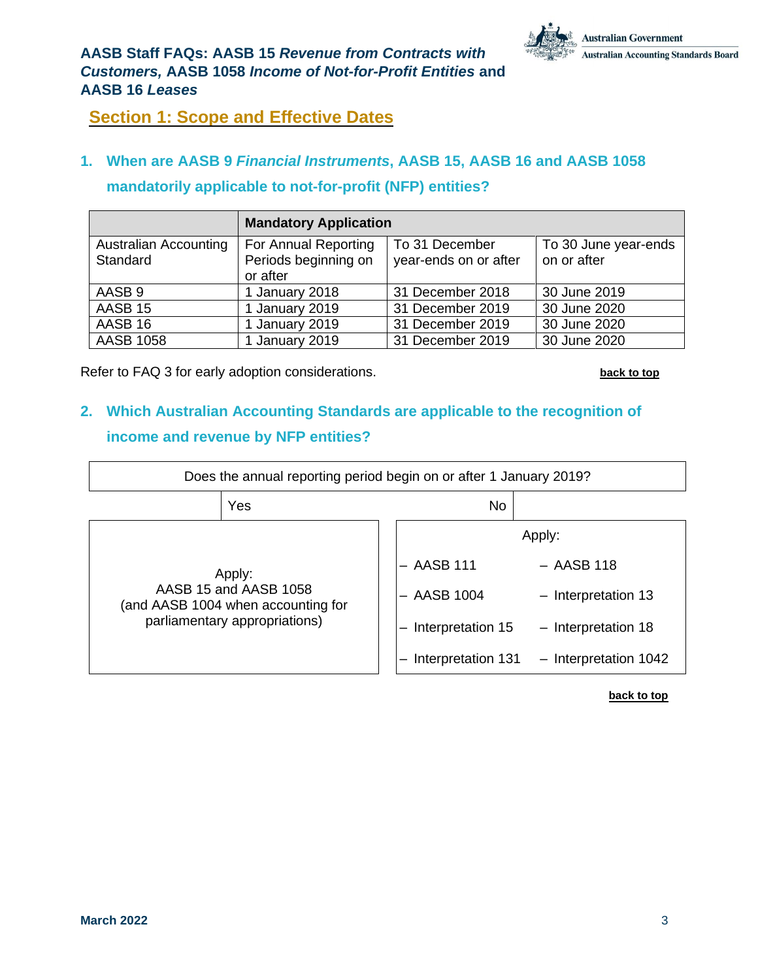## <span id="page-2-0"></span>**Section 1: Scope and Effective Dates**

## <span id="page-2-1"></span>**1. When are AASB 9** *Financial Instruments***, AASB 15, AASB 16 and AASB 1058 mandatorily applicable to not-for-profit (NFP) entities?**

|                              | <b>Mandatory Application</b> |                       |                      |
|------------------------------|------------------------------|-----------------------|----------------------|
| <b>Australian Accounting</b> | For Annual Reporting         | To 31 December        | To 30 June year-ends |
| Standard                     | Periods beginning on         | year-ends on or after | on or after          |
|                              | or after                     |                       |                      |
| AASB <sub>9</sub>            | 1 January 2018               | 31 December 2018      | 30 June 2019         |
| AASB <sub>15</sub>           | 1 January 2019               | 31 December 2019      | 30 June 2020         |
| AASB 16                      | 1 January 2019               | 31 December 2019      | 30 June 2020         |
| <b>AASB 1058</b>             | 1 January 2019               | 31 December 2019      | 30 June 2020         |

Refer to FAQ 3 for early adoption considerations. **[back](#page-0-0) to top**

## <span id="page-2-2"></span>**2. Which Australian Accounting Standards are applicable to the recognition of income and revenue by NFP entities?**

| Does the annual reporting period begin on or after 1 January 2019?    |                               |  |                        |                       |
|-----------------------------------------------------------------------|-------------------------------|--|------------------------|-----------------------|
|                                                                       | Yes                           |  | No                     |                       |
| Apply:<br>AASB 15 and AASB 1058<br>(and AASB 1004 when accounting for |                               |  |                        | Apply:                |
|                                                                       |                               |  | $-$ AASB 111           | $-$ AASB 118          |
|                                                                       |                               |  | $-$ AASB 1004          | - Interpretation 13   |
|                                                                       | parliamentary appropriations) |  | Interpretation 15<br>- | $-$ Interpretation 18 |
|                                                                       |                               |  | Interpretation 131     | - Interpretation 1042 |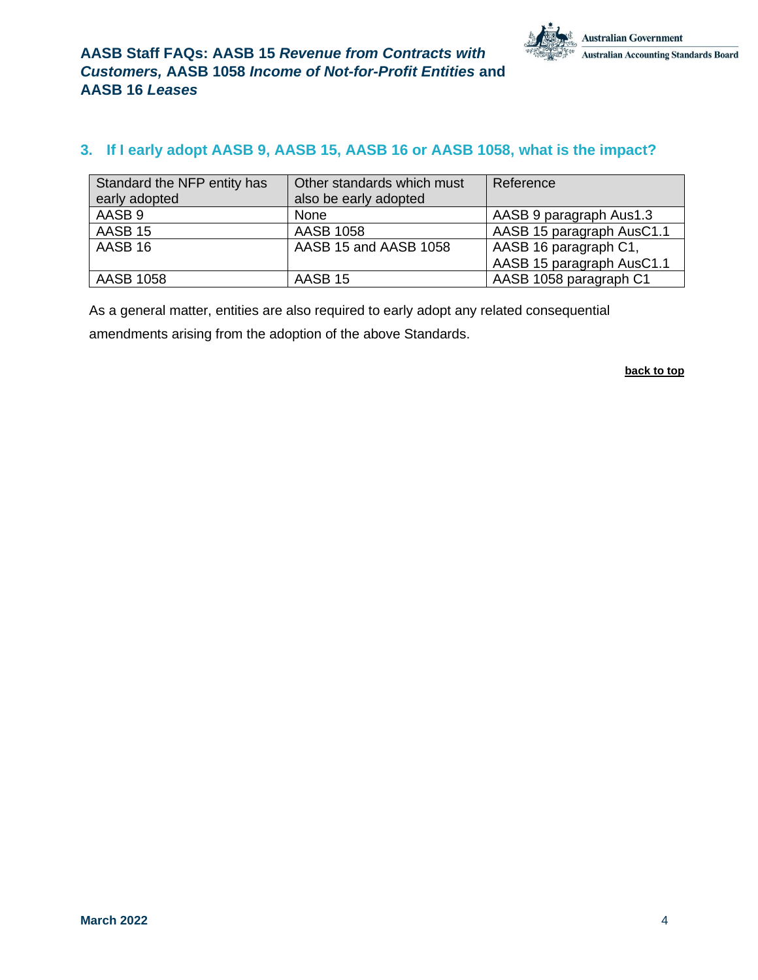### <span id="page-3-0"></span>**3. If I early adopt AASB 9, AASB 15, AASB 16 or AASB 1058, what is the impact?**

| Standard the NFP entity has | Other standards which must | Reference                 |
|-----------------------------|----------------------------|---------------------------|
| early adopted               | also be early adopted      |                           |
| AASB 9                      | <b>None</b>                | AASB 9 paragraph Aus1.3   |
| AASB 15                     | <b>AASB 1058</b>           | AASB 15 paragraph AusC1.1 |
| AASB 16                     | AASB 15 and AASB 1058      | AASB 16 paragraph C1,     |
|                             |                            | AASB 15 paragraph AusC1.1 |
| AASB 1058                   | AASB 15                    | AASB 1058 paragraph C1    |

As a general matter, entities are also required to early adopt any related consequential amendments arising from the adoption of the above Standards.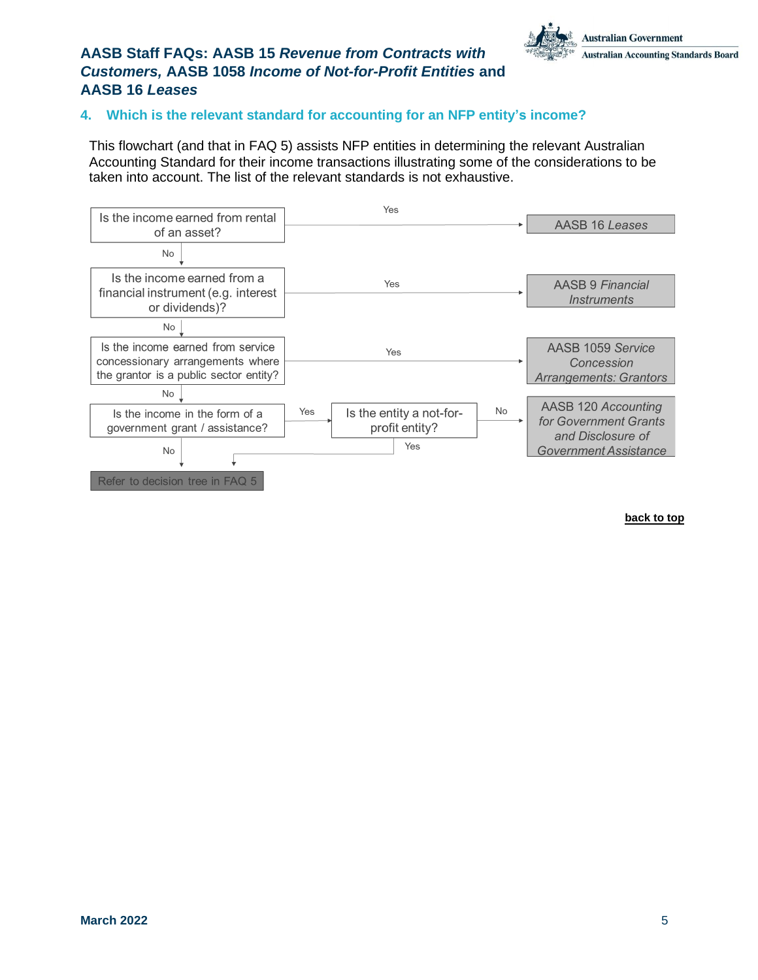### <span id="page-4-0"></span>**4. Which is the relevant standard for accounting for an NFP entity's income?**

This flowchart (and that in FAQ 5) assists NFP entities in determining the relevant Australian Accounting Standard for their income transactions illustrating some of the considerations to be taken into account. The list of the relevant standards is not exhaustive.

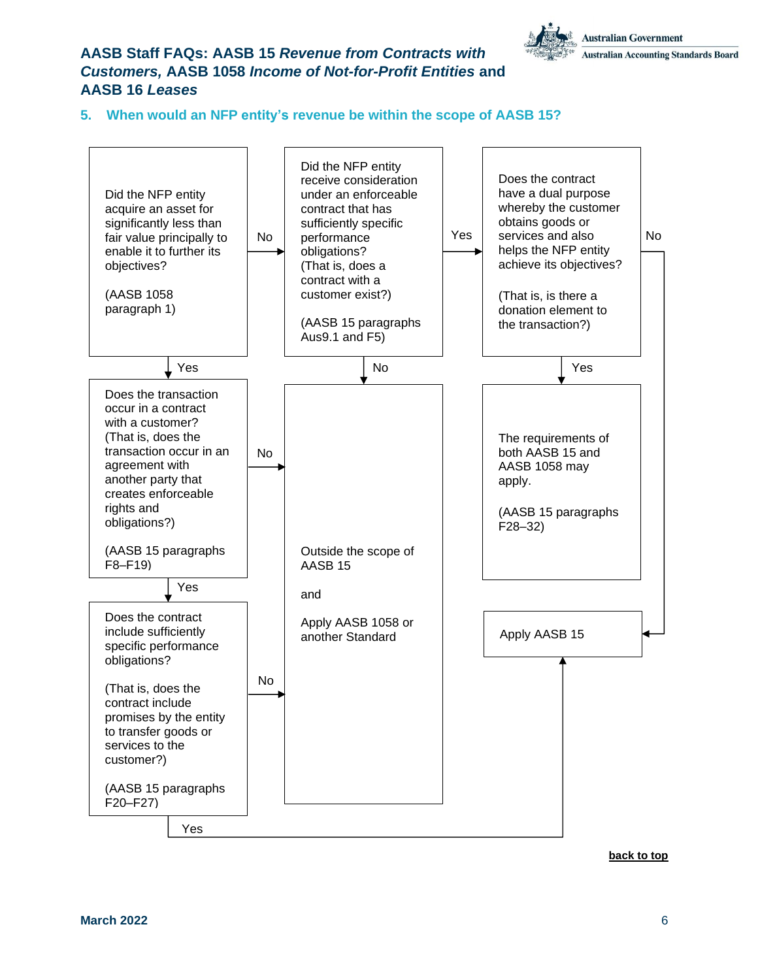

#### <span id="page-5-0"></span>**5. When would an NFP entity's revenue be within the scope of AASB 15?**

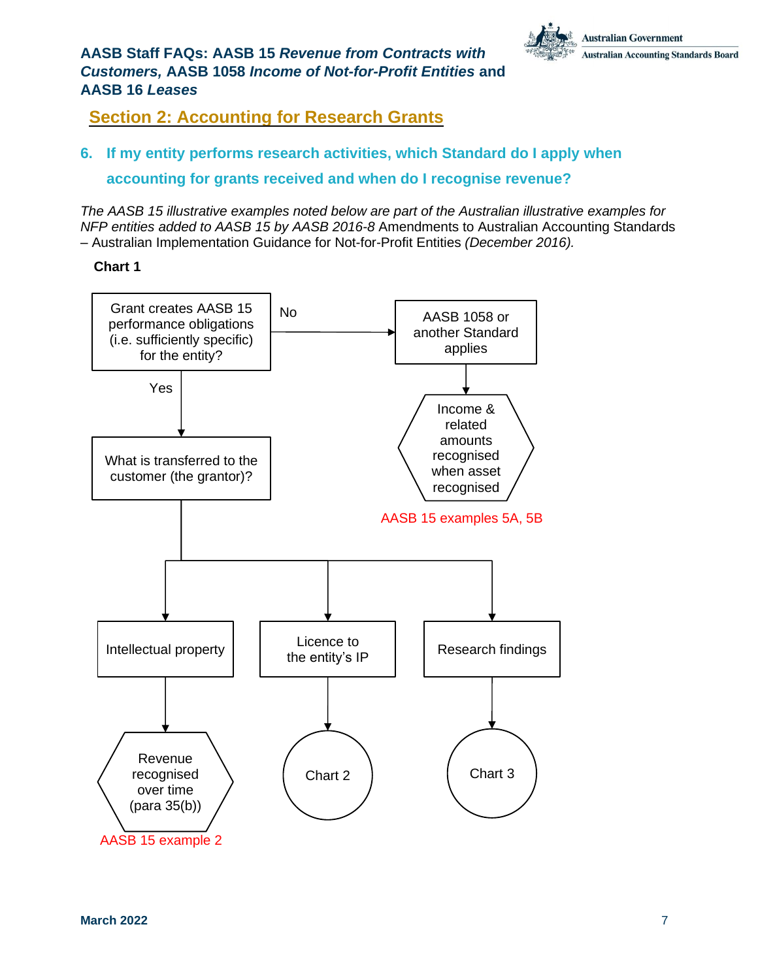

## <span id="page-6-0"></span>**Section 2: Accounting for Research Grants**

## <span id="page-6-1"></span>**6. If my entity performs research activities, which Standard do I apply when accounting for grants received and when do I recognise revenue?**

*The AASB 15 illustrative examples noted below are part of the Australian illustrative examples for NFP entities added to AASB 15 by AASB 2016-8* Amendments to Australian Accounting Standards – Australian Implementation Guidance for Not-for-Profit Entities *(December 2016).*



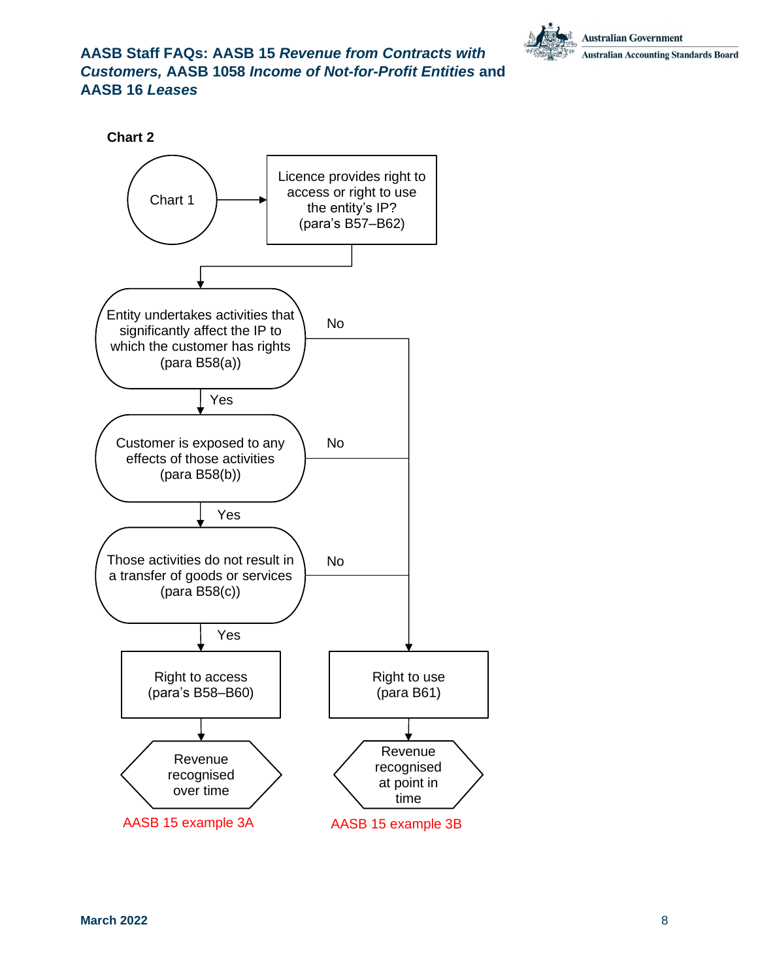



AASB 15 example 3A AASB 15 example 3B

**Chart 2**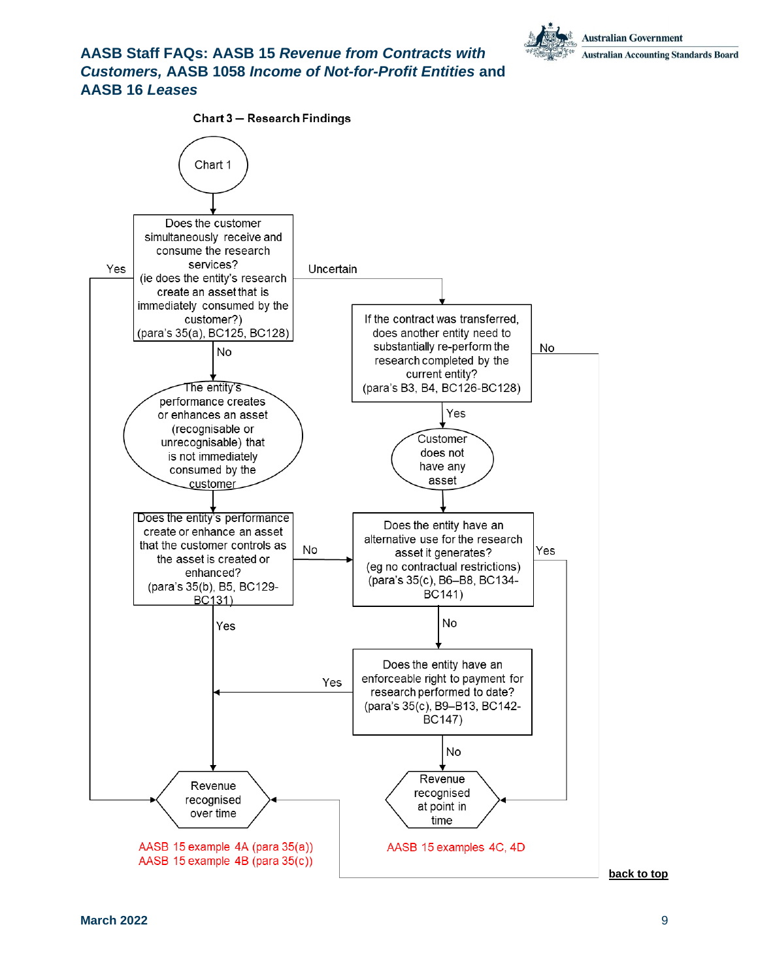

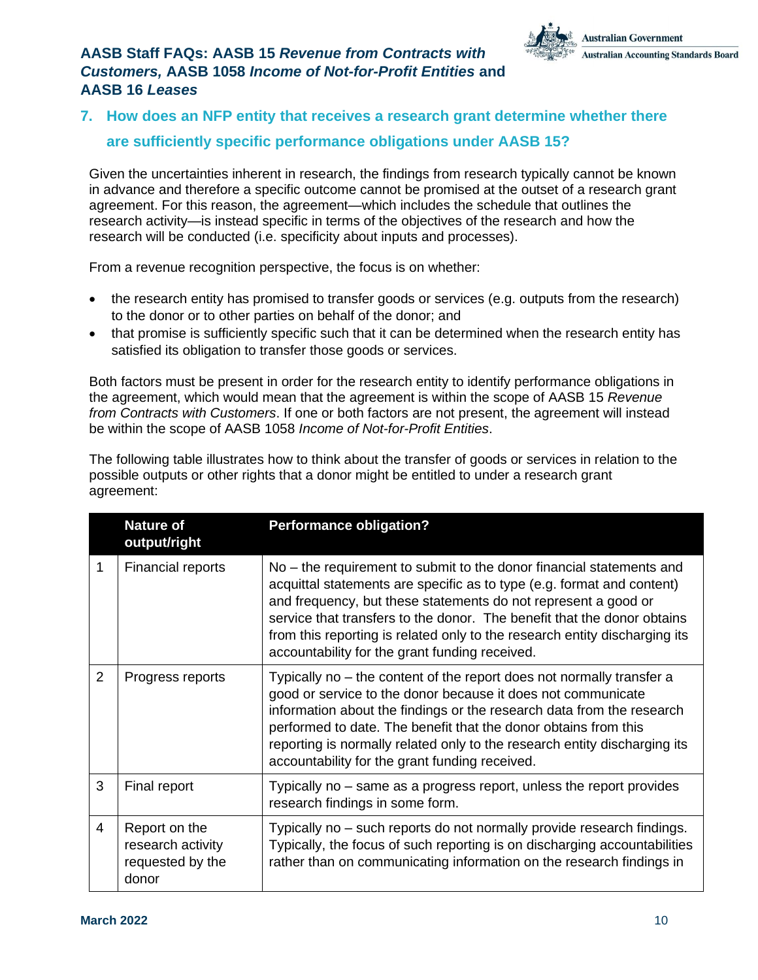

## <span id="page-9-0"></span>**7. How does an NFP entity that receives a research grant determine whether there are sufficiently specific performance obligations under AASB 15?**

Given the uncertainties inherent in research, the findings from research typically cannot be known in advance and therefore a specific outcome cannot be promised at the outset of a research grant agreement. For this reason, the agreement—which includes the schedule that outlines the research activity—is instead specific in terms of the objectives of the research and how the research will be conducted (i.e. specificity about inputs and processes).

From a revenue recognition perspective, the focus is on whether:

- the research entity has promised to transfer goods or services (e.g. outputs from the research) to the donor or to other parties on behalf of the donor; and
- that promise is sufficiently specific such that it can be determined when the research entity has satisfied its obligation to transfer those goods or services.

Both factors must be present in order for the research entity to identify performance obligations in the agreement, which would mean that the agreement is within the scope of AASB 15 *Revenue from Contracts with Customers*. If one or both factors are not present, the agreement will instead be within the scope of AASB 1058 *Income of Not-for-Profit Entities*.

The following table illustrates how to think about the transfer of goods or services in relation to the possible outputs or other rights that a donor might be entitled to under a research grant agreement:

|   | <b>Nature of</b><br>output/right                                | <b>Performance obligation?</b>                                                                                                                                                                                                                                                                                                                                                                                              |
|---|-----------------------------------------------------------------|-----------------------------------------------------------------------------------------------------------------------------------------------------------------------------------------------------------------------------------------------------------------------------------------------------------------------------------------------------------------------------------------------------------------------------|
|   | Financial reports                                               | No - the requirement to submit to the donor financial statements and<br>acquittal statements are specific as to type (e.g. format and content)<br>and frequency, but these statements do not represent a good or<br>service that transfers to the donor. The benefit that the donor obtains<br>from this reporting is related only to the research entity discharging its<br>accountability for the grant funding received. |
| 2 | Progress reports                                                | Typically no – the content of the report does not normally transfer a<br>good or service to the donor because it does not communicate<br>information about the findings or the research data from the research<br>performed to date. The benefit that the donor obtains from this<br>reporting is normally related only to the research entity discharging its<br>accountability for the grant funding received.            |
| 3 | Final report                                                    | Typically no – same as a progress report, unless the report provides<br>research findings in some form.                                                                                                                                                                                                                                                                                                                     |
| 4 | Report on the<br>research activity<br>requested by the<br>donor | Typically no – such reports do not normally provide research findings.<br>Typically, the focus of such reporting is on discharging accountabilities<br>rather than on communicating information on the research findings in                                                                                                                                                                                                 |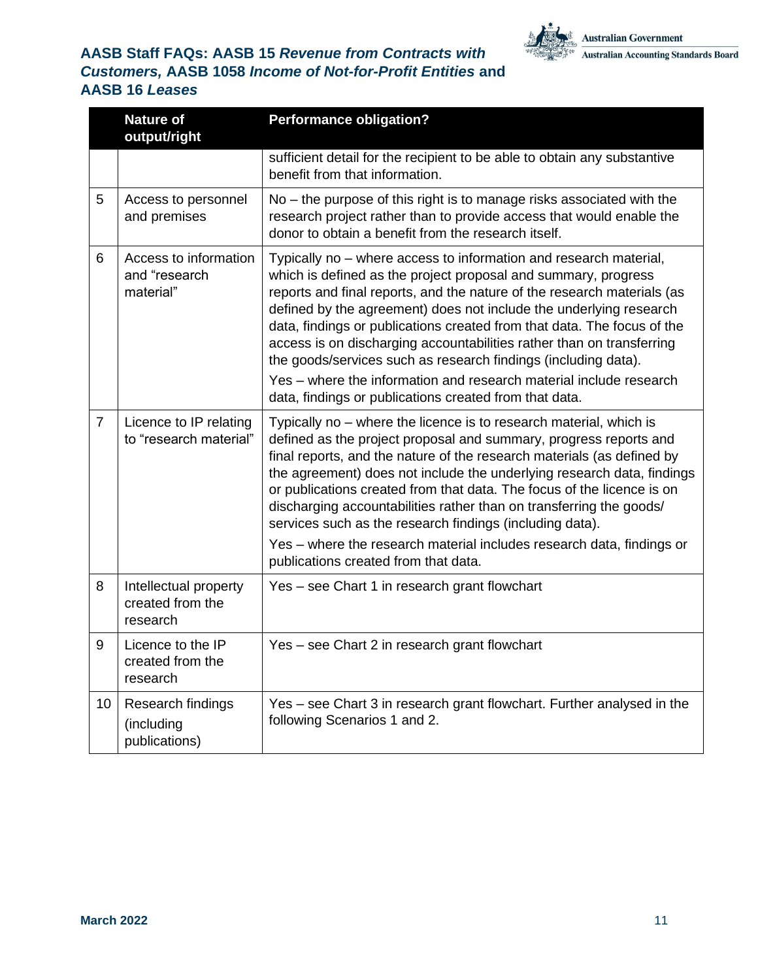

|                | <b>Nature of</b><br>output/right                      | <b>Performance obligation?</b>                                                                                                                                                                                                                                                                                                                                                                                                                                                                                                                                                                                                             |
|----------------|-------------------------------------------------------|--------------------------------------------------------------------------------------------------------------------------------------------------------------------------------------------------------------------------------------------------------------------------------------------------------------------------------------------------------------------------------------------------------------------------------------------------------------------------------------------------------------------------------------------------------------------------------------------------------------------------------------------|
|                |                                                       | sufficient detail for the recipient to be able to obtain any substantive<br>benefit from that information.                                                                                                                                                                                                                                                                                                                                                                                                                                                                                                                                 |
| 5              | Access to personnel<br>and premises                   | No – the purpose of this right is to manage risks associated with the<br>research project rather than to provide access that would enable the<br>donor to obtain a benefit from the research itself.                                                                                                                                                                                                                                                                                                                                                                                                                                       |
| 6              | Access to information<br>and "research<br>material"   | Typically no – where access to information and research material,<br>which is defined as the project proposal and summary, progress<br>reports and final reports, and the nature of the research materials (as<br>defined by the agreement) does not include the underlying research<br>data, findings or publications created from that data. The focus of the<br>access is on discharging accountabilities rather than on transferring<br>the goods/services such as research findings (including data).<br>Yes – where the information and research material include research<br>data, findings or publications created from that data. |
| $\overline{7}$ | Licence to IP relating<br>to "research material"      | Typically no - where the licence is to research material, which is<br>defined as the project proposal and summary, progress reports and<br>final reports, and the nature of the research materials (as defined by<br>the agreement) does not include the underlying research data, findings<br>or publications created from that data. The focus of the licence is on<br>discharging accountabilities rather than on transferring the goods/<br>services such as the research findings (including data).<br>Yes - where the research material includes research data, findings or<br>publications created from that data.                  |
| 8              | Intellectual property<br>created from the<br>research | Yes - see Chart 1 in research grant flowchart                                                                                                                                                                                                                                                                                                                                                                                                                                                                                                                                                                                              |
| 9              | Licence to the IP<br>created from the<br>research     | Yes - see Chart 2 in research grant flowchart                                                                                                                                                                                                                                                                                                                                                                                                                                                                                                                                                                                              |
| 10             | Research findings<br>(including<br>publications)      | Yes – see Chart 3 in research grant flowchart. Further analysed in the<br>following Scenarios 1 and 2.                                                                                                                                                                                                                                                                                                                                                                                                                                                                                                                                     |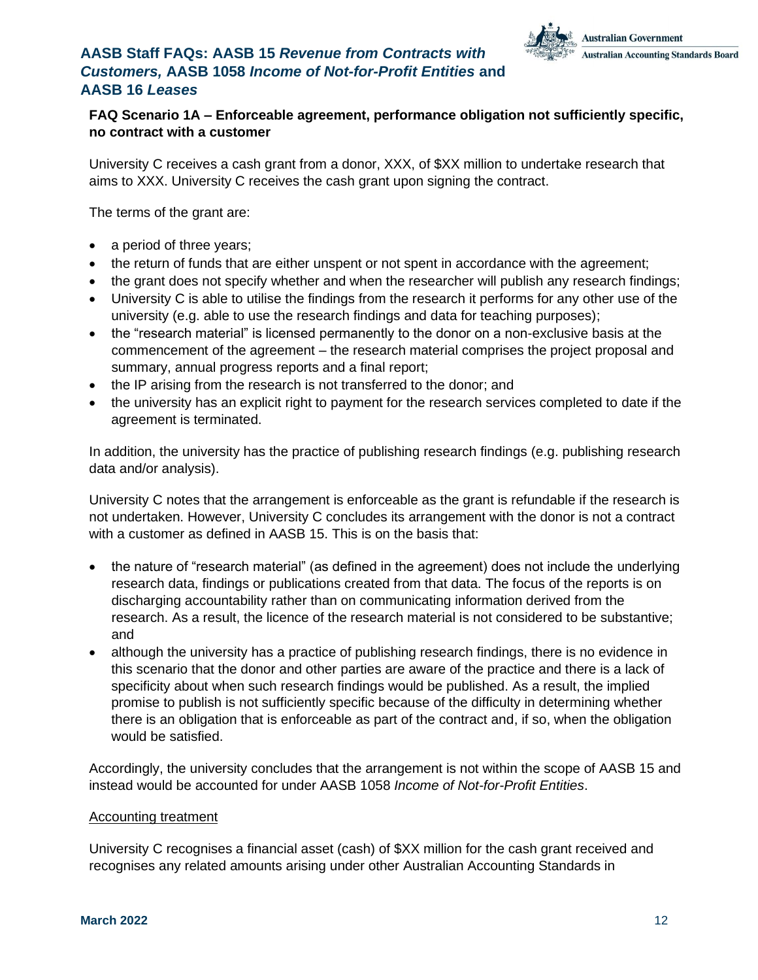

### **FAQ Scenario 1A – Enforceable agreement, performance obligation not sufficiently specific, no contract with a customer**

University C receives a cash grant from a donor, XXX, of \$XX million to undertake research that aims to XXX. University C receives the cash grant upon signing the contract.

The terms of the grant are:

- a period of three years;
- the return of funds that are either unspent or not spent in accordance with the agreement;
- the grant does not specify whether and when the researcher will publish any research findings;
- University C is able to utilise the findings from the research it performs for any other use of the university (e.g. able to use the research findings and data for teaching purposes);
- the "research material" is licensed permanently to the donor on a non-exclusive basis at the commencement of the agreement – the research material comprises the project proposal and summary, annual progress reports and a final report;
- the IP arising from the research is not transferred to the donor; and
- the university has an explicit right to payment for the research services completed to date if the agreement is terminated.

In addition, the university has the practice of publishing research findings (e.g. publishing research data and/or analysis).

University C notes that the arrangement is enforceable as the grant is refundable if the research is not undertaken. However, University C concludes its arrangement with the donor is not a contract with a customer as defined in AASB 15. This is on the basis that:

- the nature of "research material" (as defined in the agreement) does not include the underlying research data, findings or publications created from that data. The focus of the reports is on discharging accountability rather than on communicating information derived from the research. As a result, the licence of the research material is not considered to be substantive; and
- although the university has a practice of publishing research findings, there is no evidence in this scenario that the donor and other parties are aware of the practice and there is a lack of specificity about when such research findings would be published. As a result, the implied promise to publish is not sufficiently specific because of the difficulty in determining whether there is an obligation that is enforceable as part of the contract and, if so, when the obligation would be satisfied.

Accordingly, the university concludes that the arrangement is not within the scope of AASB 15 and instead would be accounted for under AASB 1058 *Income of Not-for-Profit Entities*.

#### Accounting treatment

University C recognises a financial asset (cash) of \$XX million for the cash grant received and recognises any related amounts arising under other Australian Accounting Standards in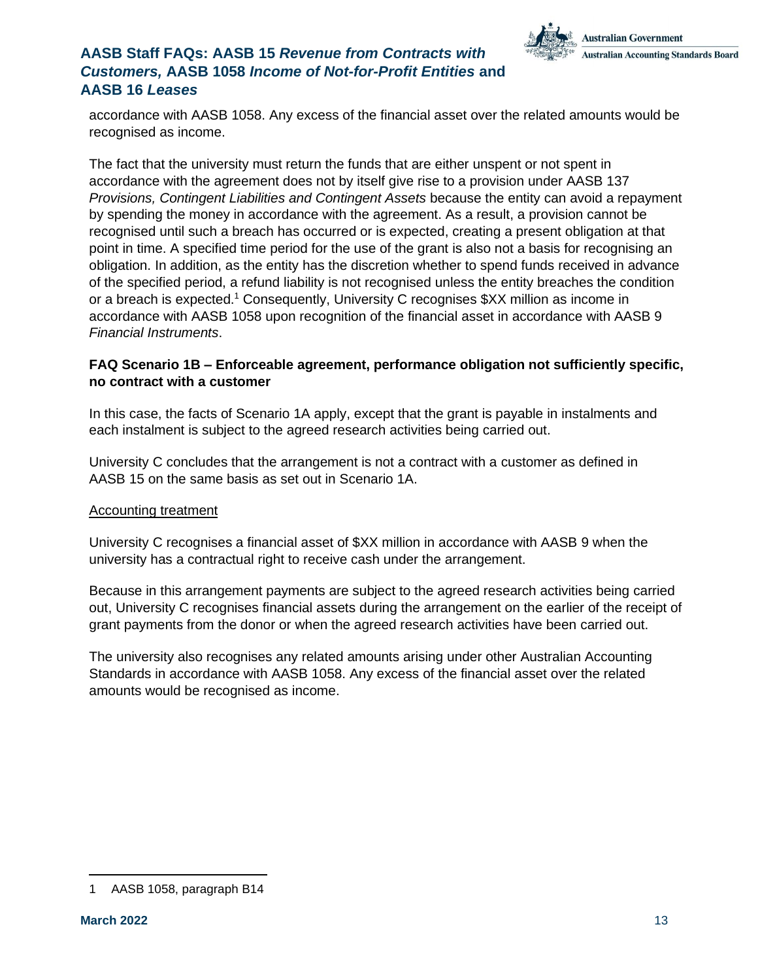

accordance with AASB 1058. Any excess of the financial asset over the related amounts would be recognised as income.

The fact that the university must return the funds that are either unspent or not spent in accordance with the agreement does not by itself give rise to a provision under AASB 137 *Provisions, Contingent Liabilities and Contingent Assets* because the entity can avoid a repayment by spending the money in accordance with the agreement. As a result, a provision cannot be recognised until such a breach has occurred or is expected, creating a present obligation at that point in time. A specified time period for the use of the grant is also not a basis for recognising an obligation. In addition, as the entity has the discretion whether to spend funds received in advance of the specified period, a refund liability is not recognised unless the entity breaches the condition or a breach is expected.<sup>1</sup> Consequently, University C recognises \$XX million as income in accordance with AASB 1058 upon recognition of the financial asset in accordance with AASB 9 *Financial Instruments*.

#### **FAQ Scenario 1B – Enforceable agreement, performance obligation not sufficiently specific, no contract with a customer**

In this case, the facts of Scenario 1A apply, except that the grant is payable in instalments and each instalment is subject to the agreed research activities being carried out.

University C concludes that the arrangement is not a contract with a customer as defined in AASB 15 on the same basis as set out in Scenario 1A.

#### Accounting treatment

University C recognises a financial asset of \$XX million in accordance with AASB 9 when the university has a contractual right to receive cash under the arrangement.

Because in this arrangement payments are subject to the agreed research activities being carried out, University C recognises financial assets during the arrangement on the earlier of the receipt of grant payments from the donor or when the agreed research activities have been carried out.

The university also recognises any related amounts arising under other Australian Accounting Standards in accordance with AASB 1058. Any excess of the financial asset over the related amounts would be recognised as income.

<sup>1</sup> AASB 1058, paragraph B14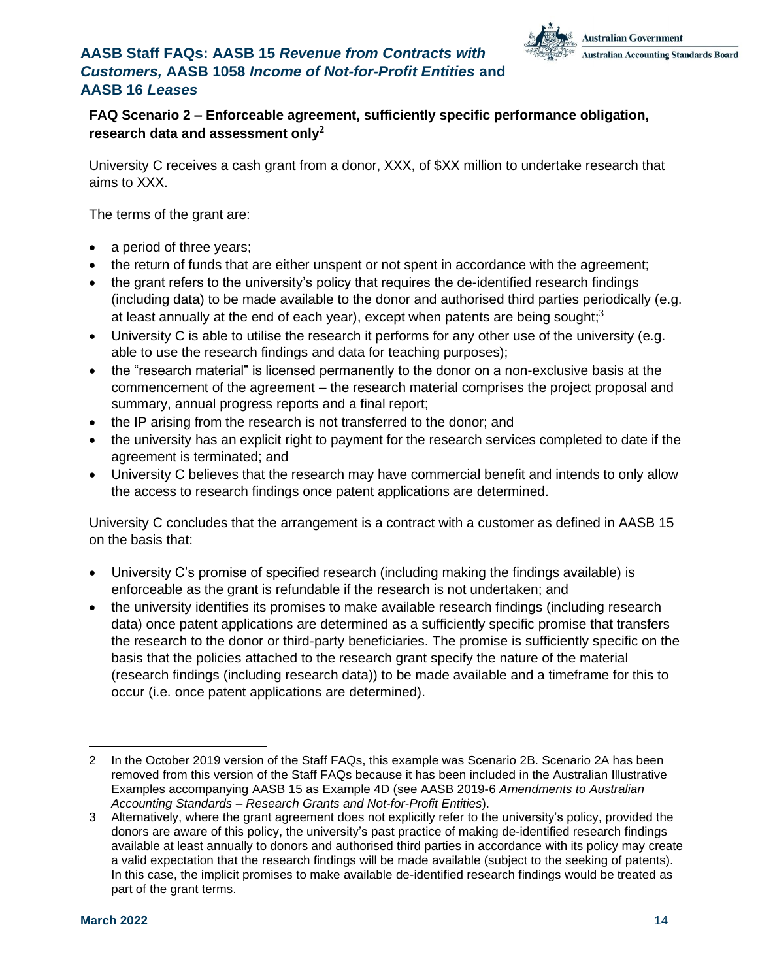

### **FAQ Scenario 2 – Enforceable agreement, sufficiently specific performance obligation, research data and assessment only<sup>2</sup>**

University C receives a cash grant from a donor, XXX, of \$XX million to undertake research that aims to XXX.

The terms of the grant are:

- a period of three years;
- the return of funds that are either unspent or not spent in accordance with the agreement;
- the grant refers to the university's policy that requires the de-identified research findings (including data) to be made available to the donor and authorised third parties periodically (e.g. at least annually at the end of each year), except when patents are being sought;<sup>3</sup>
- University C is able to utilise the research it performs for any other use of the university (e.g. able to use the research findings and data for teaching purposes);
- the "research material" is licensed permanently to the donor on a non-exclusive basis at the commencement of the agreement – the research material comprises the project proposal and summary, annual progress reports and a final report;
- the IP arising from the research is not transferred to the donor; and
- the university has an explicit right to payment for the research services completed to date if the agreement is terminated; and
- University C believes that the research may have commercial benefit and intends to only allow the access to research findings once patent applications are determined.

University C concludes that the arrangement is a contract with a customer as defined in AASB 15 on the basis that:

- University C's promise of specified research (including making the findings available) is enforceable as the grant is refundable if the research is not undertaken; and
- the university identifies its promises to make available research findings (including research data) once patent applications are determined as a sufficiently specific promise that transfers the research to the donor or third-party beneficiaries. The promise is sufficiently specific on the basis that the policies attached to the research grant specify the nature of the material (research findings (including research data)) to be made available and a timeframe for this to occur (i.e. once patent applications are determined).

<sup>2</sup> In the October 2019 version of the Staff FAQs, this example was Scenario 2B. Scenario 2A has been removed from this version of the Staff FAQs because it has been included in the Australian Illustrative Examples accompanying AASB 15 as Example 4D (see AASB 2019-6 *Amendments to Australian Accounting Standards – Research Grants and Not-for-Profit Entities*).

<sup>3</sup> Alternatively, where the grant agreement does not explicitly refer to the university's policy, provided the donors are aware of this policy, the university's past practice of making de-identified research findings available at least annually to donors and authorised third parties in accordance with its policy may create a valid expectation that the research findings will be made available (subject to the seeking of patents). In this case, the implicit promises to make available de-identified research findings would be treated as part of the grant terms.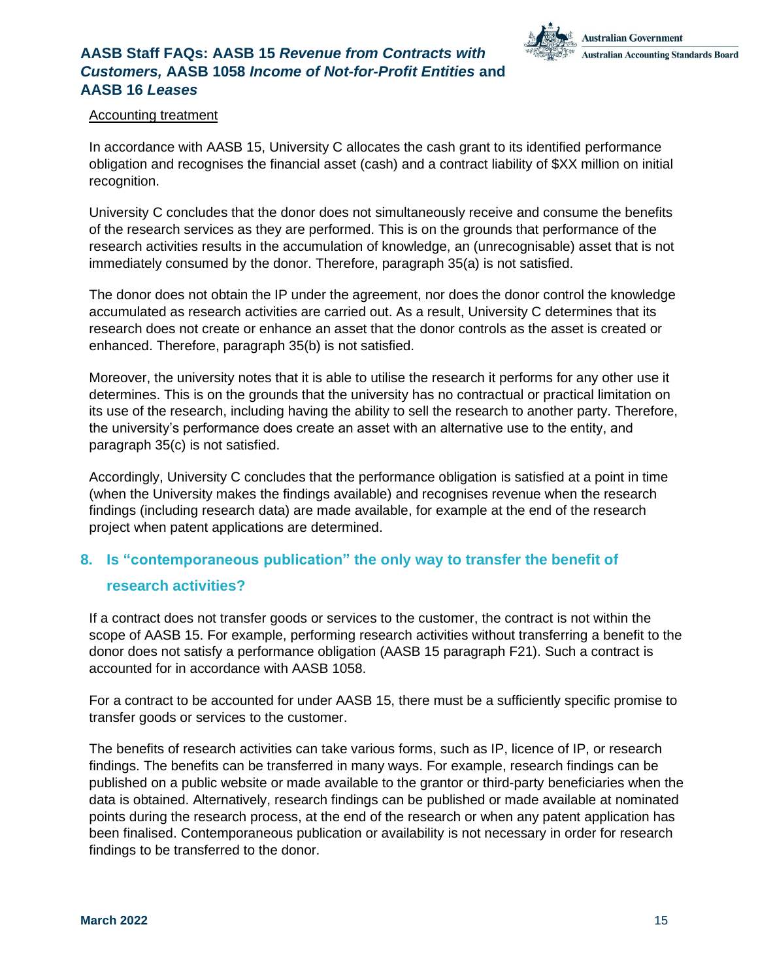

#### Accounting treatment

In accordance with AASB 15, University C allocates the cash grant to its identified performance obligation and recognises the financial asset (cash) and a contract liability of \$XX million on initial recognition.

University C concludes that the donor does not simultaneously receive and consume the benefits of the research services as they are performed. This is on the grounds that performance of the research activities results in the accumulation of knowledge, an (unrecognisable) asset that is not immediately consumed by the donor. Therefore, paragraph 35(a) is not satisfied.

The donor does not obtain the IP under the agreement, nor does the donor control the knowledge accumulated as research activities are carried out. As a result, University C determines that its research does not create or enhance an asset that the donor controls as the asset is created or enhanced. Therefore, paragraph 35(b) is not satisfied.

Moreover, the university notes that it is able to utilise the research it performs for any other use it determines. This is on the grounds that the university has no contractual or practical limitation on its use of the research, including having the ability to sell the research to another party. Therefore, the university's performance does create an asset with an alternative use to the entity, and paragraph 35(c) is not satisfied.

Accordingly, University C concludes that the performance obligation is satisfied at a point in time (when the University makes the findings available) and recognises revenue when the research findings (including research data) are made available, for example at the end of the research project when patent applications are determined.

### <span id="page-14-0"></span>**8. Is "contemporaneous publication" the only way to transfer the benefit of**

#### **research activities?**

If a contract does not transfer goods or services to the customer, the contract is not within the scope of AASB 15. For example, performing research activities without transferring a benefit to the donor does not satisfy a performance obligation (AASB 15 paragraph F21). Such a contract is accounted for in accordance with AASB 1058.

For a contract to be accounted for under AASB 15, there must be a sufficiently specific promise to transfer goods or services to the customer.

The benefits of research activities can take various forms, such as IP, licence of IP, or research findings. The benefits can be transferred in many ways. For example, research findings can be published on a public website or made available to the grantor or third-party beneficiaries when the data is obtained. Alternatively, research findings can be published or made available at nominated points during the research process, at the end of the research or when any patent application has been finalised. Contemporaneous publication or availability is not necessary in order for research findings to be transferred to the donor.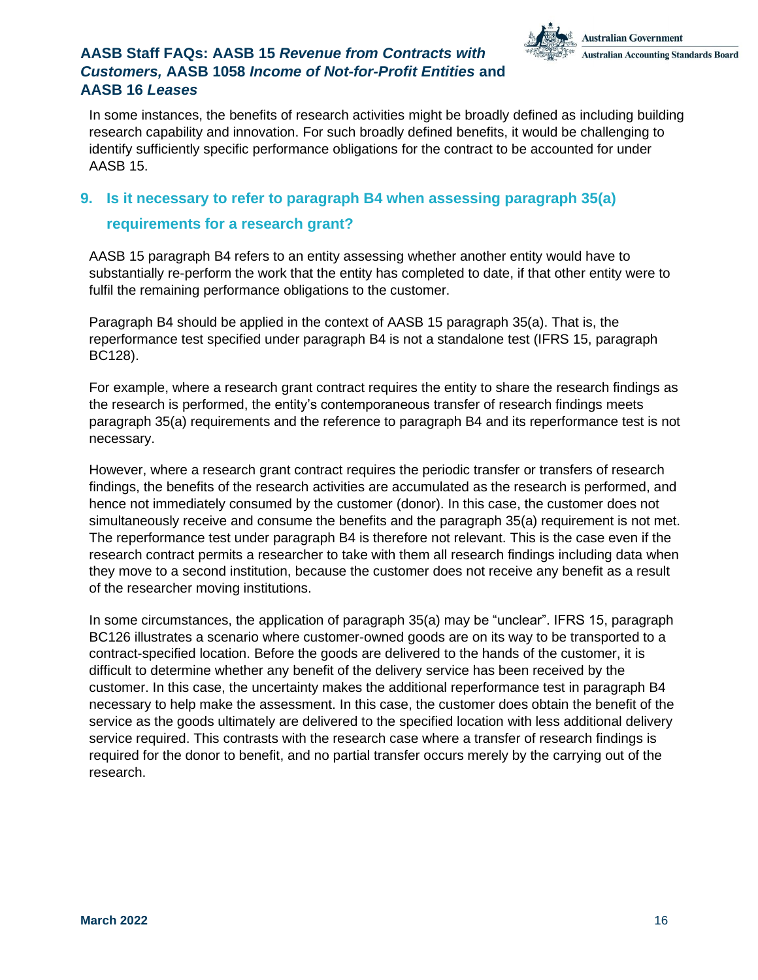

In some instances, the benefits of research activities might be broadly defined as including building research capability and innovation. For such broadly defined benefits, it would be challenging to identify sufficiently specific performance obligations for the contract to be accounted for under AASB 15.

### <span id="page-15-0"></span>**9. Is it necessary to refer to paragraph B4 when assessing paragraph 35(a)**

### **requirements for a research grant?**

AASB 15 paragraph B4 refers to an entity assessing whether another entity would have to substantially re-perform the work that the entity has completed to date, if that other entity were to fulfil the remaining performance obligations to the customer.

Paragraph B4 should be applied in the context of AASB 15 paragraph 35(a). That is, the reperformance test specified under paragraph B4 is not a standalone test (IFRS 15, paragraph BC128).

For example, where a research grant contract requires the entity to share the research findings as the research is performed, the entity's contemporaneous transfer of research findings meets paragraph 35(a) requirements and the reference to paragraph B4 and its reperformance test is not necessary.

However, where a research grant contract requires the periodic transfer or transfers of research findings, the benefits of the research activities are accumulated as the research is performed, and hence not immediately consumed by the customer (donor). In this case, the customer does not simultaneously receive and consume the benefits and the paragraph 35(a) requirement is not met. The reperformance test under paragraph B4 is therefore not relevant. This is the case even if the research contract permits a researcher to take with them all research findings including data when they move to a second institution, because the customer does not receive any benefit as a result of the researcher moving institutions.

In some circumstances, the application of paragraph 35(a) may be "unclear". IFRS 15, paragraph BC126 illustrates a scenario where customer-owned goods are on its way to be transported to a contract-specified location. Before the goods are delivered to the hands of the customer, it is difficult to determine whether any benefit of the delivery service has been received by the customer. In this case, the uncertainty makes the additional reperformance test in paragraph B4 necessary to help make the assessment. In this case, the customer does obtain the benefit of the service as the goods ultimately are delivered to the specified location with less additional delivery service required. This contrasts with the research case where a transfer of research findings is required for the donor to benefit, and no partial transfer occurs merely by the carrying out of the research.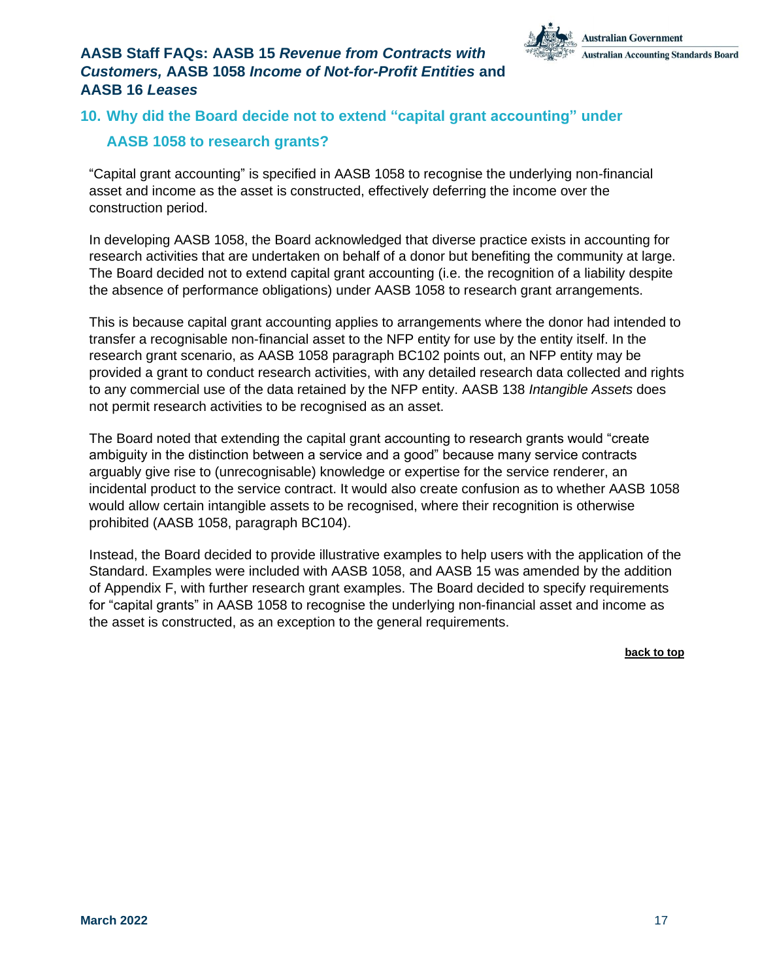

# <span id="page-16-0"></span>**10. Why did the Board decide not to extend "capital grant accounting" under**

### **AASB 1058 to research grants?**

"Capital grant accounting" is specified in AASB 1058 to recognise the underlying non-financial asset and income as the asset is constructed, effectively deferring the income over the construction period.

In developing AASB 1058, the Board acknowledged that diverse practice exists in accounting for research activities that are undertaken on behalf of a donor but benefiting the community at large. The Board decided not to extend capital grant accounting (i.e. the recognition of a liability despite the absence of performance obligations) under AASB 1058 to research grant arrangements.

This is because capital grant accounting applies to arrangements where the donor had intended to transfer a recognisable non-financial asset to the NFP entity for use by the entity itself. In the research grant scenario, as AASB 1058 paragraph BC102 points out, an NFP entity may be provided a grant to conduct research activities, with any detailed research data collected and rights to any commercial use of the data retained by the NFP entity. AASB 138 *Intangible Assets* does not permit research activities to be recognised as an asset.

The Board noted that extending the capital grant accounting to research grants would "create ambiguity in the distinction between a service and a good" because many service contracts arguably give rise to (unrecognisable) knowledge or expertise for the service renderer, an incidental product to the service contract. It would also create confusion as to whether AASB 1058 would allow certain intangible assets to be recognised, where their recognition is otherwise prohibited (AASB 1058, paragraph BC104).

Instead, the Board decided to provide illustrative examples to help users with the application of the Standard. Examples were included with AASB 1058, and AASB 15 was amended by the addition of Appendix F, with further research grant examples. The Board decided to specify requirements for "capital grants" in AASB 1058 to recognise the underlying non-financial asset and income as the asset is constructed, as an exception to the general requirements.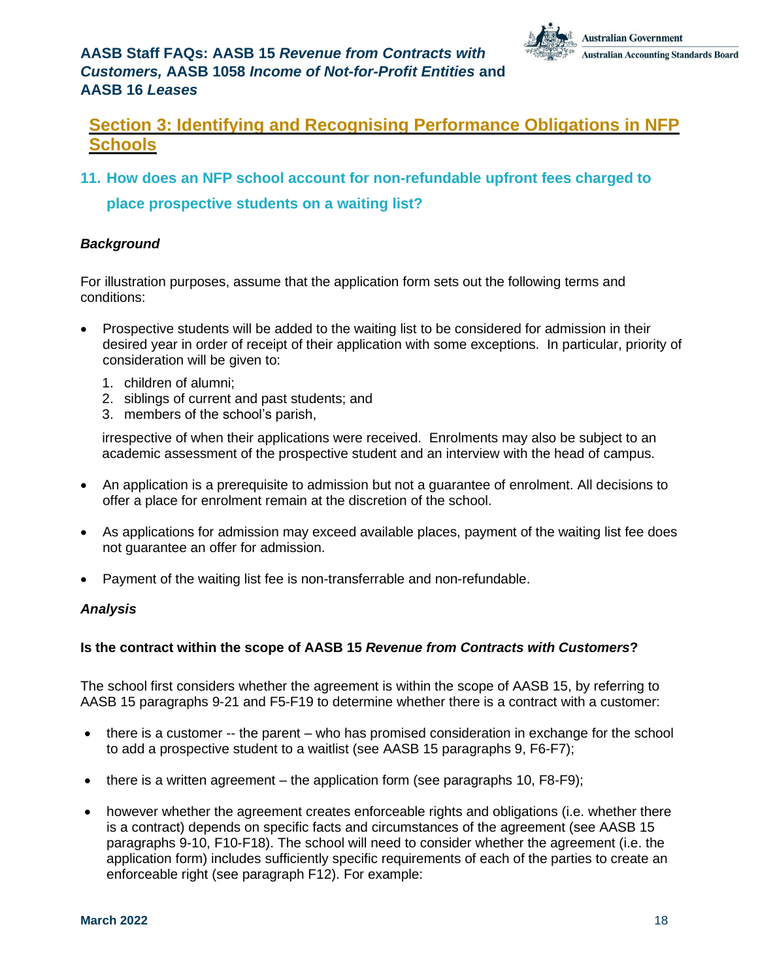

## <span id="page-17-0"></span>**Section 3: Identifying and Recognising Performance Obligations in NFP Schools**

<span id="page-17-1"></span>**11. How does an NFP school account for non-refundable upfront fees charged to**

**place prospective students on a waiting list?**

### *Background*

For illustration purposes, assume that the application form sets out the following terms and conditions:

- Prospective students will be added to the waiting list to be considered for admission in their desired year in order of receipt of their application with some exceptions. In particular, priority of consideration will be given to:
	- 1. children of alumni;
	- 2. siblings of current and past students; and
	- 3. members of the school's parish,

irrespective of when their applications were received. Enrolments may also be subject to an academic assessment of the prospective student and an interview with the head of campus.

- An application is a prerequisite to admission but not a guarantee of enrolment. All decisions to offer a place for enrolment remain at the discretion of the school.
- As applications for admission may exceed available places, payment of the waiting list fee does not guarantee an offer for admission.
- Payment of the waiting list fee is non-transferrable and non-refundable.

#### *Analysis*

#### **Is the contract within the scope of AASB 15** *Revenue from Contracts with Customers***?**

The school first considers whether the agreement is within the scope of AASB 15, by referring to AASB 15 paragraphs 9-21 and F5-F19 to determine whether there is a contract with a customer:

- there is a customer -- the parent who has promised consideration in exchange for the school to add a prospective student to a waitlist (see AASB 15 paragraphs 9, F6-F7);
- there is a written agreement the application form (see paragraphs 10,  $F8-F9$ );
- however whether the agreement creates enforceable rights and obligations (i.e. whether there is a contract) depends on specific facts and circumstances of the agreement (see AASB 15 paragraphs 9-10, F10-F18). The school will need to consider whether the agreement (i.e. the application form) includes sufficiently specific requirements of each of the parties to create an enforceable right (see paragraph F12). For example: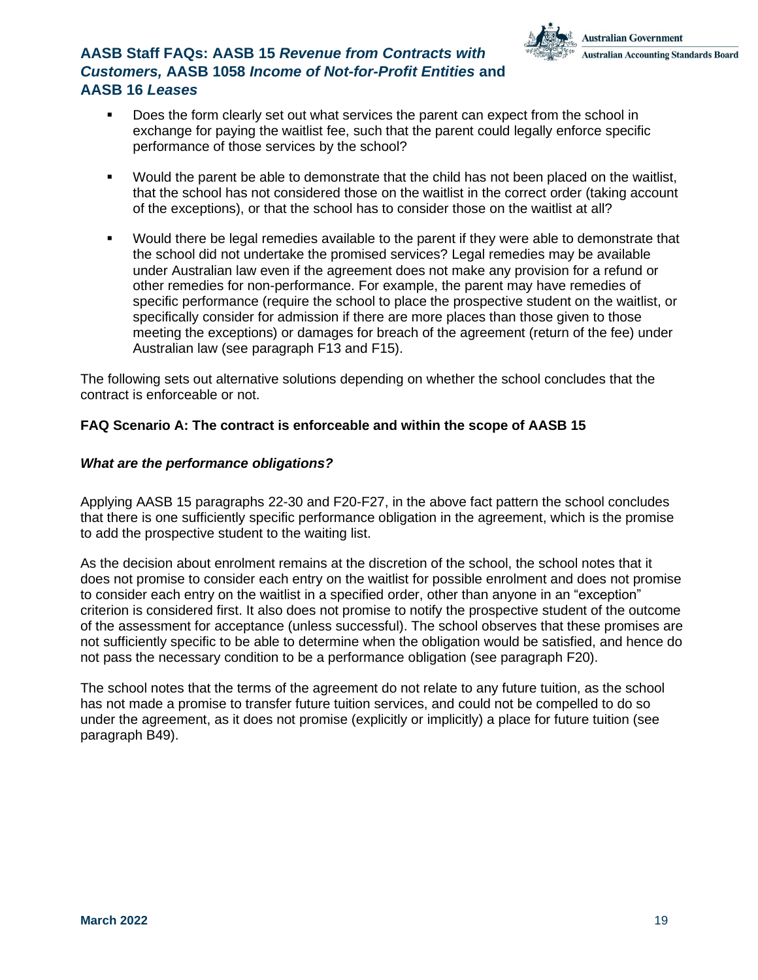

- Does the form clearly set out what services the parent can expect from the school in exchange for paying the waitlist fee, such that the parent could legally enforce specific performance of those services by the school?
- Would the parent be able to demonstrate that the child has not been placed on the waitlist, that the school has not considered those on the waitlist in the correct order (taking account of the exceptions), or that the school has to consider those on the waitlist at all?
- Would there be legal remedies available to the parent if they were able to demonstrate that the school did not undertake the promised services? Legal remedies may be available under Australian law even if the agreement does not make any provision for a refund or other remedies for non-performance. For example, the parent may have remedies of specific performance (require the school to place the prospective student on the waitlist, or specifically consider for admission if there are more places than those given to those meeting the exceptions) or damages for breach of the agreement (return of the fee) under Australian law (see paragraph F13 and F15).

The following sets out alternative solutions depending on whether the school concludes that the contract is enforceable or not.

#### **FAQ Scenario A: The contract is enforceable and within the scope of AASB 15**

#### *What are the performance obligations?*

Applying AASB 15 paragraphs 22-30 and F20-F27, in the above fact pattern the school concludes that there is one sufficiently specific performance obligation in the agreement, which is the promise to add the prospective student to the waiting list.

As the decision about enrolment remains at the discretion of the school, the school notes that it does not promise to consider each entry on the waitlist for possible enrolment and does not promise to consider each entry on the waitlist in a specified order, other than anyone in an "exception" criterion is considered first. It also does not promise to notify the prospective student of the outcome of the assessment for acceptance (unless successful). The school observes that these promises are not sufficiently specific to be able to determine when the obligation would be satisfied, and hence do not pass the necessary condition to be a performance obligation (see paragraph F20).

The school notes that the terms of the agreement do not relate to any future tuition, as the school has not made a promise to transfer future tuition services, and could not be compelled to do so under the agreement, as it does not promise (explicitly or implicitly) a place for future tuition (see paragraph B49).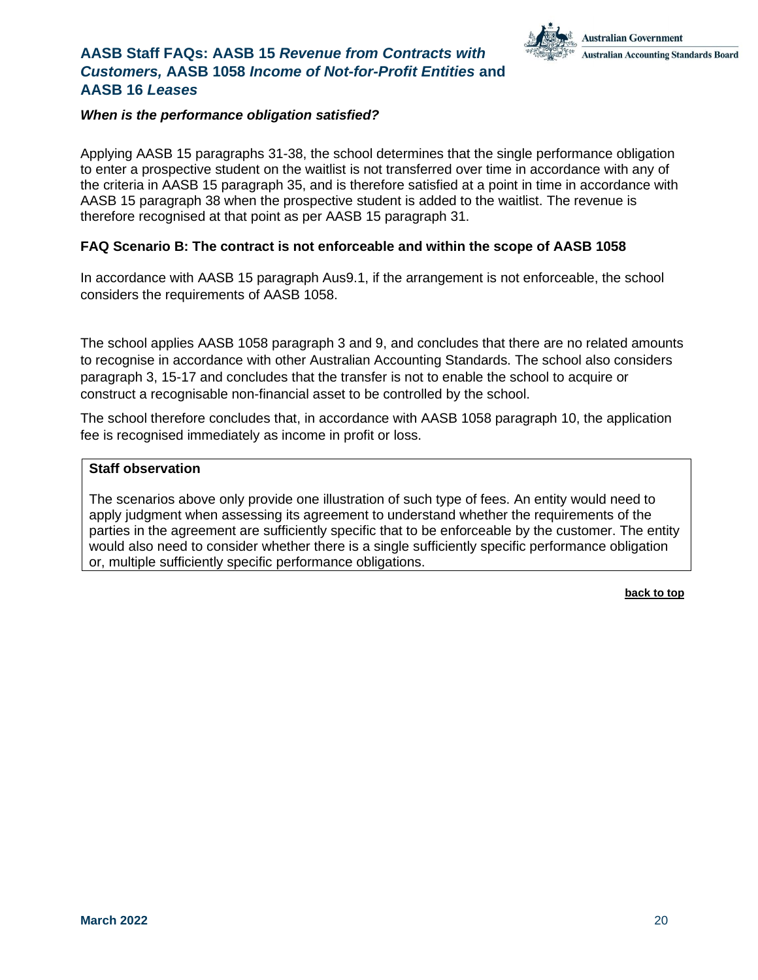

#### *When is the performance obligation satisfied?*

Applying AASB 15 paragraphs 31-38, the school determines that the single performance obligation to enter a prospective student on the waitlist is not transferred over time in accordance with any of the criteria in AASB 15 paragraph 35, and is therefore satisfied at a point in time in accordance with AASB 15 paragraph 38 when the prospective student is added to the waitlist. The revenue is therefore recognised at that point as per AASB 15 paragraph 31.

#### **FAQ Scenario B: The contract is not enforceable and within the scope of AASB 1058**

In accordance with AASB 15 paragraph Aus9.1, if the arrangement is not enforceable, the school considers the requirements of AASB 1058.

The school applies AASB 1058 paragraph 3 and 9, and concludes that there are no related amounts to recognise in accordance with other Australian Accounting Standards. The school also considers paragraph 3, 15-17 and concludes that the transfer is not to enable the school to acquire or construct a recognisable non-financial asset to be controlled by the school.

The school therefore concludes that, in accordance with AASB 1058 paragraph 10, the application fee is recognised immediately as income in profit or loss.

#### **Staff observation**

The scenarios above only provide one illustration of such type of fees. An entity would need to apply judgment when assessing its agreement to understand whether the requirements of the parties in the agreement are sufficiently specific that to be enforceable by the customer. The entity would also need to consider whether there is a single sufficiently specific performance obligation or, multiple sufficiently specific performance obligations.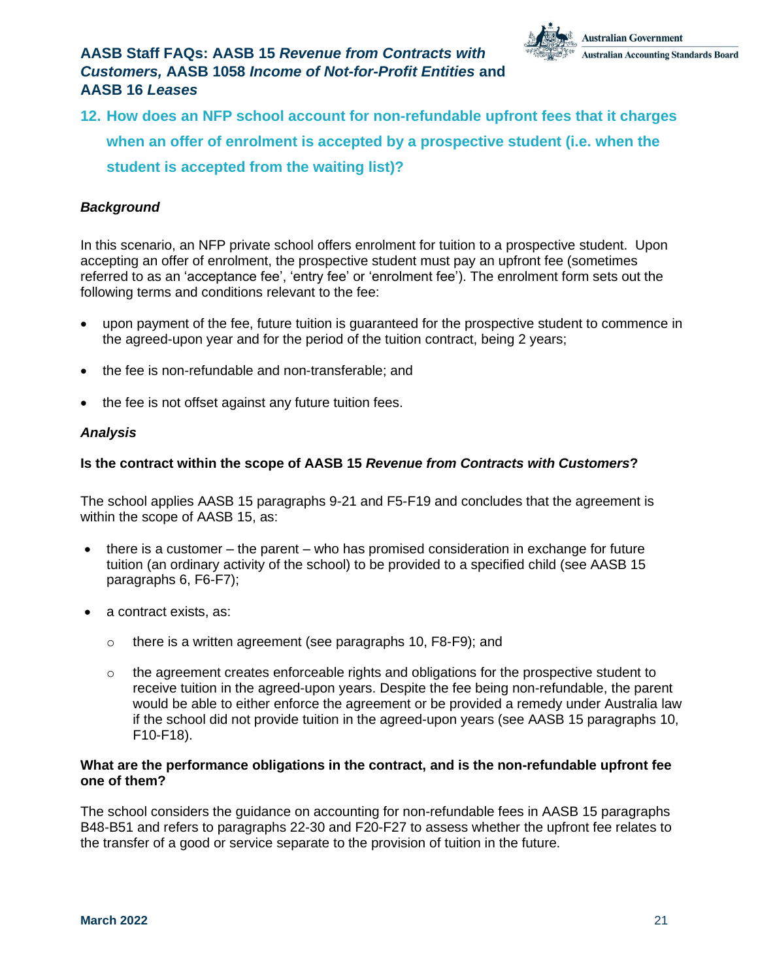

<span id="page-20-0"></span>**12. How does an NFP school account for non-refundable upfront fees that it charges when an offer of enrolment is accepted by a prospective student (i.e. when the student is accepted from the waiting list)?**

### *Background*

In this scenario, an NFP private school offers enrolment for tuition to a prospective student. Upon accepting an offer of enrolment, the prospective student must pay an upfront fee (sometimes referred to as an 'acceptance fee', 'entry fee' or 'enrolment fee'). The enrolment form sets out the following terms and conditions relevant to the fee:

- upon payment of the fee, future tuition is guaranteed for the prospective student to commence in the agreed-upon year and for the period of the tuition contract, being 2 years;
- the fee is non-refundable and non-transferable; and
- the fee is not offset against any future tuition fees.

#### *Analysis*

#### **Is the contract within the scope of AASB 15** *Revenue from Contracts with Customers***?**

The school applies AASB 15 paragraphs 9-21 and F5-F19 and concludes that the agreement is within the scope of AASB 15, as:

- there is a customer the parent who has promised consideration in exchange for future tuition (an ordinary activity of the school) to be provided to a specified child (see AASB 15 paragraphs 6, F6-F7);
- a contract exists, as:
	- o there is a written agreement (see paragraphs 10, F8-F9); and
	- $\circ$  the agreement creates enforceable rights and obligations for the prospective student to receive tuition in the agreed-upon years. Despite the fee being non-refundable, the parent would be able to either enforce the agreement or be provided a remedy under Australia law if the school did not provide tuition in the agreed-upon years (see AASB 15 paragraphs 10, F10-F18).

#### **What are the performance obligations in the contract, and is the non-refundable upfront fee one of them?**

The school considers the guidance on accounting for non-refundable fees in AASB 15 paragraphs B48-B51 and refers to paragraphs 22-30 and F20-F27 to assess whether the upfront fee relates to the transfer of a good or service separate to the provision of tuition in the future.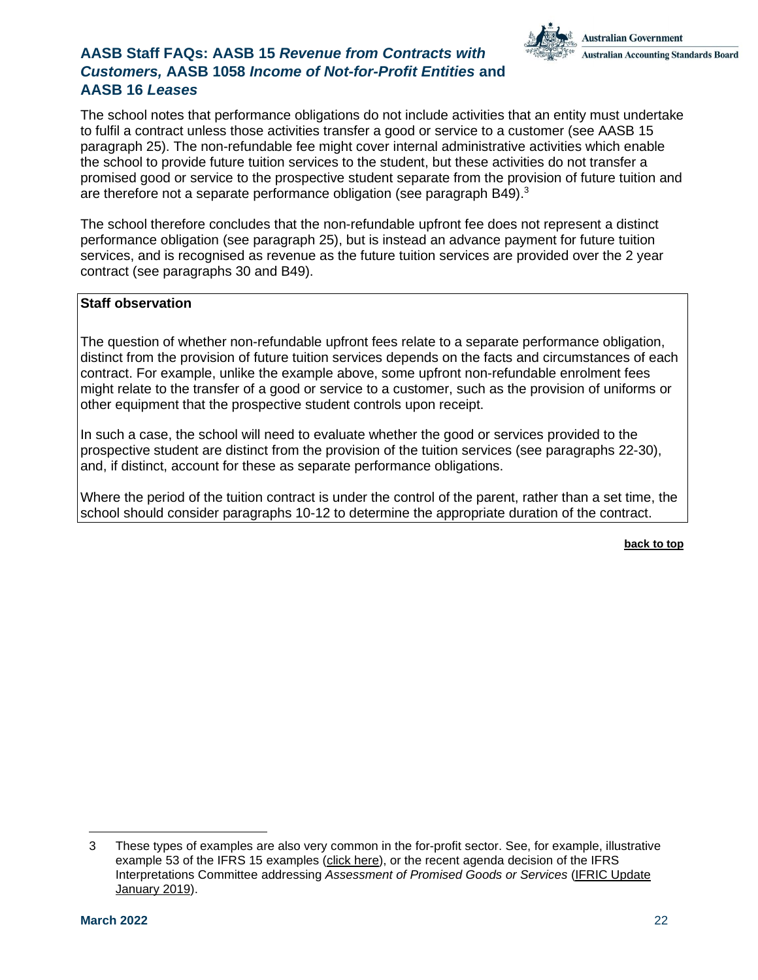

The school notes that performance obligations do not include activities that an entity must undertake to fulfil a contract unless those activities transfer a good or service to a customer (see AASB 15 paragraph 25). The non-refundable fee might cover internal administrative activities which enable the school to provide future tuition services to the student, but these activities do not transfer a promised good or service to the prospective student separate from the provision of future tuition and are therefore not a separate performance obligation (see paragraph B49).<sup>3</sup>

The school therefore concludes that the non-refundable upfront fee does not represent a distinct performance obligation (see paragraph 25), but is instead an advance payment for future tuition services, and is recognised as revenue as the future tuition services are provided over the 2 year contract (see paragraphs 30 and B49).

#### **Staff observation**

The question of whether non-refundable upfront fees relate to a separate performance obligation, distinct from the provision of future tuition services depends on the facts and circumstances of each contract. For example, unlike the example above, some upfront non-refundable enrolment fees might relate to the transfer of a good or service to a customer, such as the provision of uniforms or other equipment that the prospective student controls upon receipt.

In such a case, the school will need to evaluate whether the good or services provided to the prospective student are distinct from the provision of the tuition services (see paragraphs 22-30), and, if distinct, account for these as separate performance obligations.

Where the period of the tuition contract is under the control of the parent, rather than a set time, the school should consider paragraphs 10-12 to determine the appropriate duration of the contract.

<sup>3</sup> These types of examples are also very common in the for-profit sector. See, for example, illustrative example 53 of the IFRS 15 examples (click [here\)](http://www.aasb.gov.au/admin/file/content105/c9/IFRS15_IE_5-14.pdf), or the recent agenda decision of the IFRS Interpretations Committee addressing *Assessment of Promised Goods or Services* (IFRIC [Update](https://www.ifrs.org/news-and-events/updates/ifric-updates/january-2019/) [January](https://www.ifrs.org/news-and-events/updates/ifric-updates/january-2019/) 2019).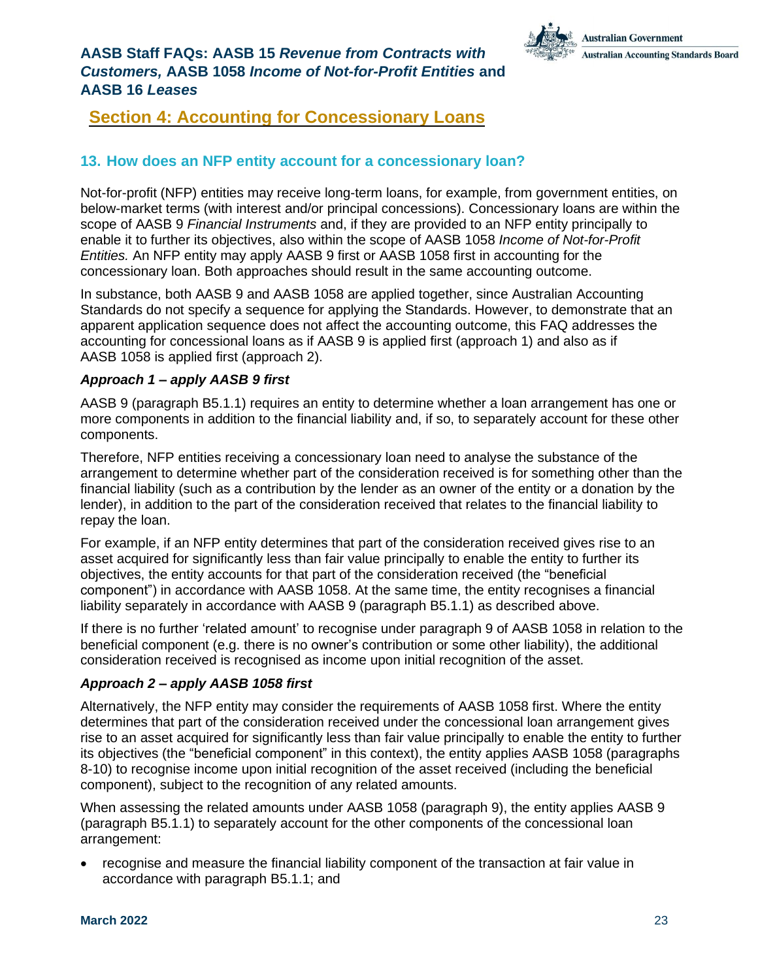

## <span id="page-22-0"></span>**Section 4: Accounting for Concessionary Loans**

### <span id="page-22-1"></span>**13. How does an NFP entity account for a concessionary loan?**

Not-for-profit (NFP) entities may receive long-term loans, for example, from government entities, on below-market terms (with interest and/or principal concessions). Concessionary loans are within the scope of AASB 9 *Financial Instruments* and, if they are provided to an NFP entity principally to enable it to further its objectives, also within the scope of AASB 1058 *Income of Not-for-Profit Entities.* An NFP entity may apply AASB 9 first or AASB 1058 first in accounting for the concessionary loan. Both approaches should result in the same accounting outcome.

In substance, both AASB 9 and AASB 1058 are applied together, since Australian Accounting Standards do not specify a sequence for applying the Standards. However, to demonstrate that an apparent application sequence does not affect the accounting outcome, this FAQ addresses the accounting for concessional loans as if AASB 9 is applied first (approach 1) and also as if AASB 1058 is applied first (approach 2).

#### *Approach 1 – apply AASB 9 first*

AASB 9 (paragraph B5.1.1) requires an entity to determine whether a loan arrangement has one or more components in addition to the financial liability and, if so, to separately account for these other components.

Therefore, NFP entities receiving a concessionary loan need to analyse the substance of the arrangement to determine whether part of the consideration received is for something other than the financial liability (such as a contribution by the lender as an owner of the entity or a donation by the lender), in addition to the part of the consideration received that relates to the financial liability to repay the loan.

For example, if an NFP entity determines that part of the consideration received gives rise to an asset acquired for significantly less than fair value principally to enable the entity to further its objectives, the entity accounts for that part of the consideration received (the "beneficial component") in accordance with AASB 1058. At the same time, the entity recognises a financial liability separately in accordance with AASB 9 (paragraph B5.1.1) as described above.

If there is no further 'related amount' to recognise under paragraph 9 of AASB 1058 in relation to the beneficial component (e.g. there is no owner's contribution or some other liability), the additional consideration received is recognised as income upon initial recognition of the asset.

#### *Approach 2 – apply AASB 1058 first*

Alternatively, the NFP entity may consider the requirements of AASB 1058 first. Where the entity determines that part of the consideration received under the concessional loan arrangement gives rise to an asset acquired for significantly less than fair value principally to enable the entity to further its objectives (the "beneficial component" in this context), the entity applies AASB 1058 (paragraphs 8-10) to recognise income upon initial recognition of the asset received (including the beneficial component), subject to the recognition of any related amounts.

When assessing the related amounts under AASB 1058 (paragraph 9), the entity applies AASB 9 (paragraph B5.1.1) to separately account for the other components of the concessional loan arrangement:

• recognise and measure the financial liability component of the transaction at fair value in accordance with paragraph B5.1.1; and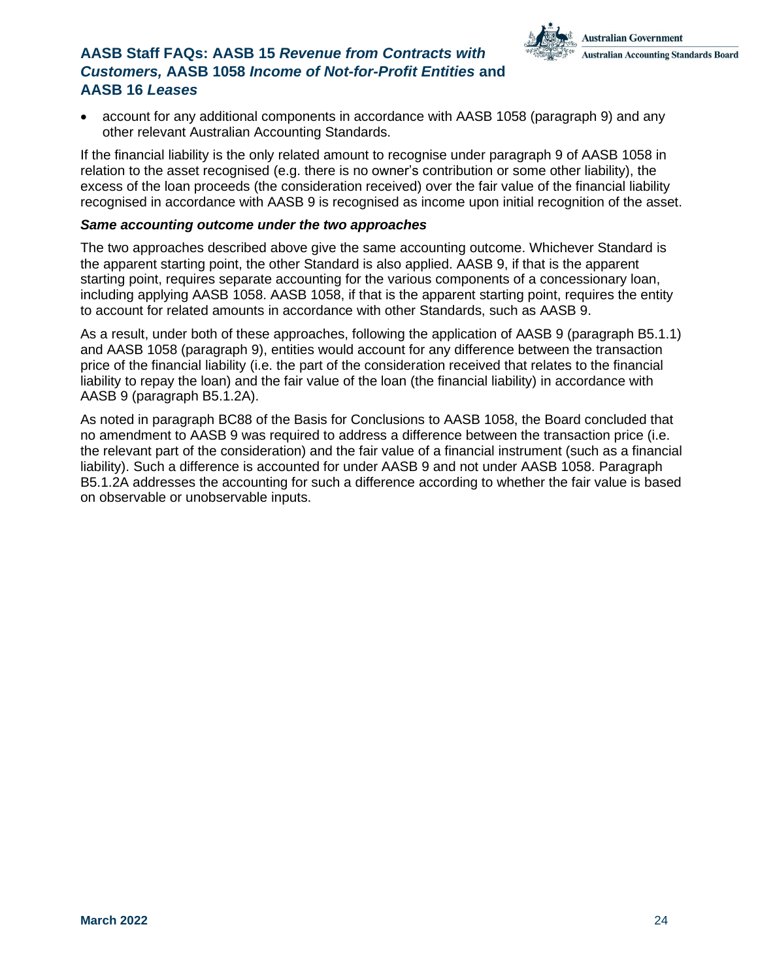

• account for any additional components in accordance with AASB 1058 (paragraph 9) and any other relevant Australian Accounting Standards.

If the financial liability is the only related amount to recognise under paragraph 9 of AASB 1058 in relation to the asset recognised (e.g. there is no owner's contribution or some other liability), the excess of the loan proceeds (the consideration received) over the fair value of the financial liability recognised in accordance with AASB 9 is recognised as income upon initial recognition of the asset.

#### *Same accounting outcome under the two approaches*

The two approaches described above give the same accounting outcome. Whichever Standard is the apparent starting point, the other Standard is also applied. AASB 9, if that is the apparent starting point, requires separate accounting for the various components of a concessionary loan, including applying AASB 1058. AASB 1058, if that is the apparent starting point, requires the entity to account for related amounts in accordance with other Standards, such as AASB 9.

As a result, under both of these approaches, following the application of AASB 9 (paragraph B5.1.1) and AASB 1058 (paragraph 9), entities would account for any difference between the transaction price of the financial liability (i.e. the part of the consideration received that relates to the financial liability to repay the loan) and the fair value of the loan (the financial liability) in accordance with AASB 9 (paragraph B5.1.2A).

As noted in paragraph BC88 of the Basis for Conclusions to AASB 1058, the Board concluded that no amendment to AASB 9 was required to address a difference between the transaction price (i.e. the relevant part of the consideration) and the fair value of a financial instrument (such as a financial liability). Such a difference is accounted for under AASB 9 and not under AASB 1058. Paragraph B5.1.2A addresses the accounting for such a difference according to whether the fair value is based on observable or unobservable inputs.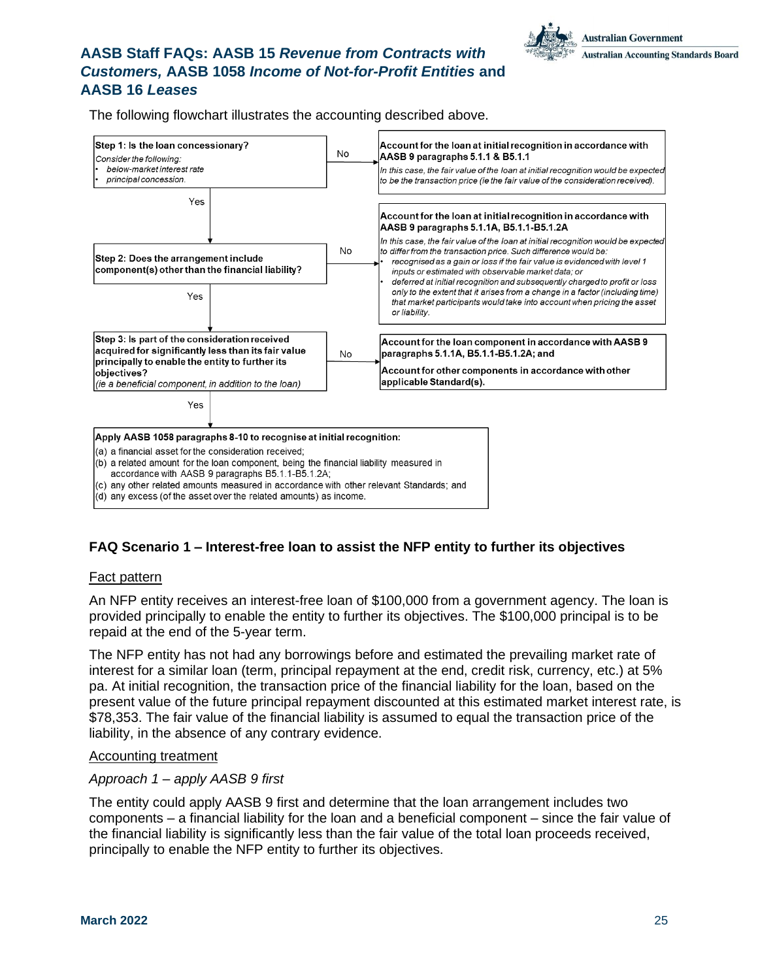The following flowchart illustrates the accounting described above.



### **FAQ Scenario 1 – Interest-free loan to assist the NFP entity to further its objectives**

#### Fact pattern

An NFP entity receives an interest-free loan of \$100,000 from a government agency. The loan is provided principally to enable the entity to further its objectives. The \$100,000 principal is to be repaid at the end of the 5-year term.

The NFP entity has not had any borrowings before and estimated the prevailing market rate of interest for a similar loan (term, principal repayment at the end, credit risk, currency, etc.) at 5% pa. At initial recognition, the transaction price of the financial liability for the loan, based on the present value of the future principal repayment discounted at this estimated market interest rate, is \$78,353. The fair value of the financial liability is assumed to equal the transaction price of the liability, in the absence of any contrary evidence.

#### Accounting treatment

#### *Approach 1 – apply AASB 9 first*

The entity could apply AASB 9 first and determine that the loan arrangement includes two components – a financial liability for the loan and a beneficial component – since the fair value of the financial liability is significantly less than the fair value of the total loan proceeds received, principally to enable the NFP entity to further its objectives.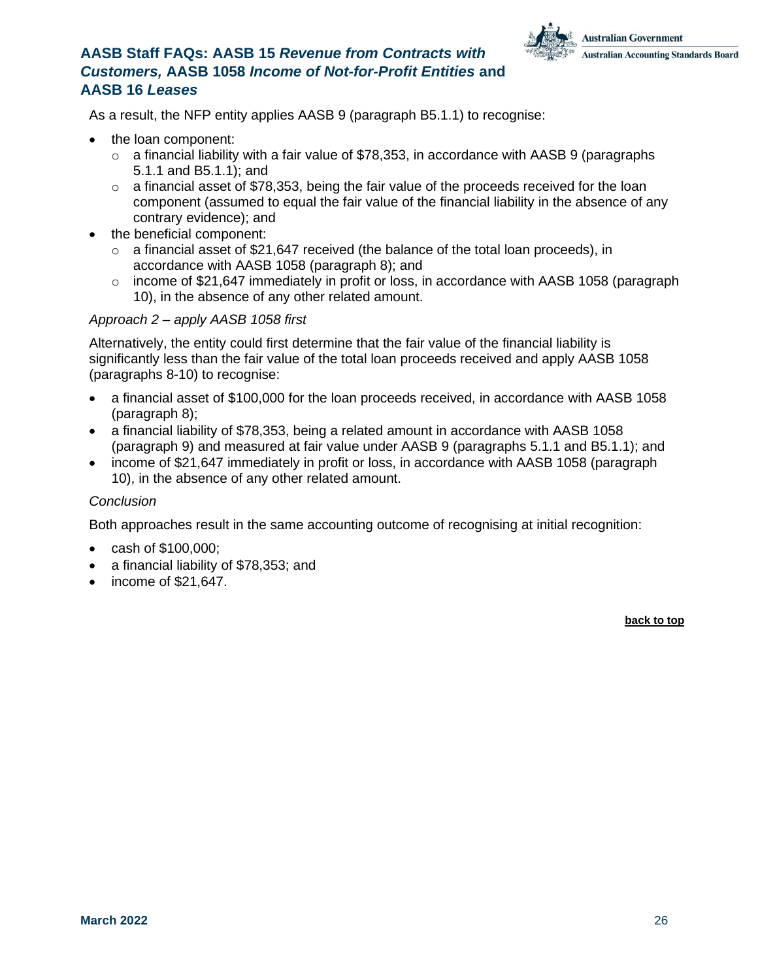

As a result, the NFP entity applies AASB 9 (paragraph B5.1.1) to recognise:

- the loan component:
	- $\circ$  a financial liability with a fair value of \$78,353, in accordance with AASB 9 (paragraphs 5.1.1 and B5.1.1); and
	- $\circ$  a financial asset of \$78,353, being the fair value of the proceeds received for the loan component (assumed to equal the fair value of the financial liability in the absence of any contrary evidence); and
- the beneficial component:
	- $\circ$  a financial asset of \$21,647 received (the balance of the total loan proceeds), in accordance with AASB 1058 (paragraph 8); and
	- $\circ$  income of \$21,647 immediately in profit or loss, in accordance with AASB 1058 (paragraph 10), in the absence of any other related amount.

#### *Approach 2 – apply AASB 1058 first*

Alternatively, the entity could first determine that the fair value of the financial liability is significantly less than the fair value of the total loan proceeds received and apply AASB 1058 (paragraphs 8-10) to recognise:

- a financial asset of \$100,000 for the loan proceeds received, in accordance with AASB 1058 (paragraph 8);
- a financial liability of \$78,353, being a related amount in accordance with AASB 1058 (paragraph 9) and measured at fair value under AASB 9 (paragraphs 5.1.1 and B5.1.1); and
- income of \$21,647 immediately in profit or loss, in accordance with AASB 1058 (paragraph 10), in the absence of any other related amount.

#### *Conclusion*

Both approaches result in the same accounting outcome of recognising at initial recognition:

- cash of \$100,000;
- a financial liability of \$78,353; and
- income of \$21,647.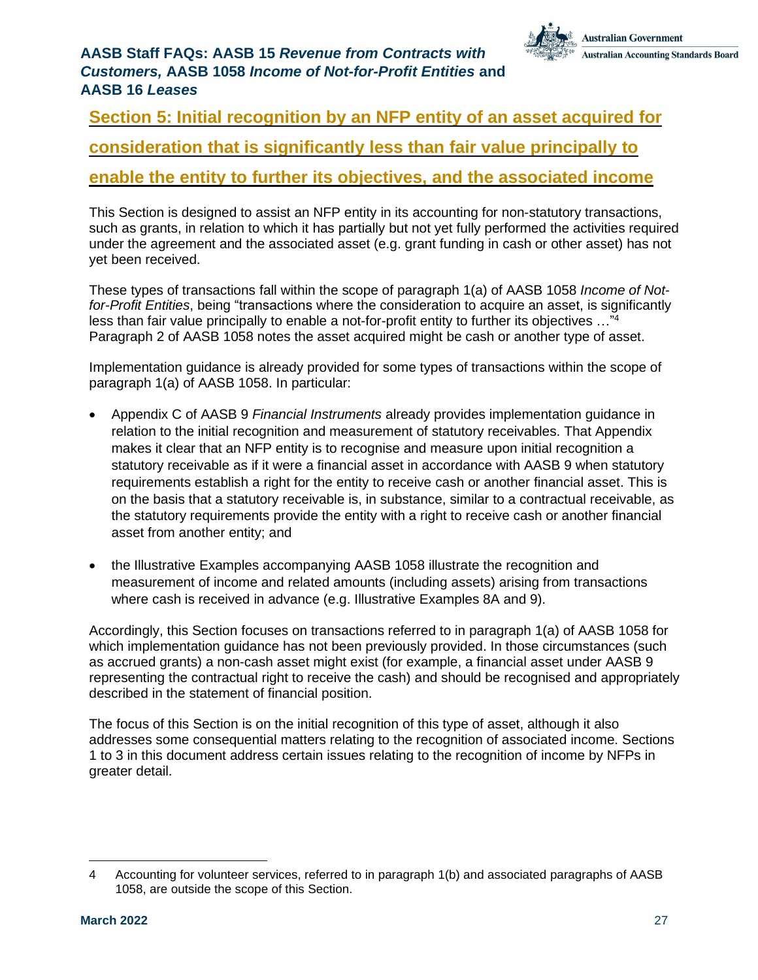## <span id="page-26-0"></span>**Section 5: Initial recognition by an NFP entity of an asset acquired for**

## **consideration that is significantly less than fair value principally to**

## **enable the entity to further its objectives, and the associated income**

This Section is designed to assist an NFP entity in its accounting for non-statutory transactions, such as grants, in relation to which it has partially but not yet fully performed the activities required under the agreement and the associated asset (e.g. grant funding in cash or other asset) has not yet been received.

These types of transactions fall within the scope of paragraph 1(a) of AASB 1058 *Income of Notfor-Profit Entities*, being "transactions where the consideration to acquire an asset, is significantly less than fair value principally to enable a not-for-profit entity to further its objectives …"<sup>4</sup> Paragraph 2 of AASB 1058 notes the asset acquired might be cash or another type of asset.

Implementation guidance is already provided for some types of transactions within the scope of paragraph 1(a) of AASB 1058. In particular:

- Appendix C of AASB 9 *Financial Instruments* already provides implementation guidance in relation to the initial recognition and measurement of statutory receivables. That Appendix makes it clear that an NFP entity is to recognise and measure upon initial recognition a statutory receivable as if it were a financial asset in accordance with AASB 9 when statutory requirements establish a right for the entity to receive cash or another financial asset. This is on the basis that a statutory receivable is, in substance, similar to a contractual receivable, as the statutory requirements provide the entity with a right to receive cash or another financial asset from another entity; and
- the Illustrative Examples accompanying AASB 1058 illustrate the recognition and measurement of income and related amounts (including assets) arising from transactions where cash is received in advance (e.g. Illustrative Examples 8A and 9).

Accordingly, this Section focuses on transactions referred to in paragraph 1(a) of AASB 1058 for which implementation guidance has not been previously provided. In those circumstances (such as accrued grants) a non-cash asset might exist (for example, a financial asset under AASB 9 representing the contractual right to receive the cash) and should be recognised and appropriately described in the statement of financial position.

The focus of this Section is on the initial recognition of this type of asset, although it also addresses some consequential matters relating to the recognition of associated income. Sections 1 to 3 in this document address certain issues relating to the recognition of income by NFPs in greater detail.

<sup>4</sup> Accounting for volunteer services, referred to in paragraph 1(b) and associated paragraphs of AASB 1058, are outside the scope of this Section.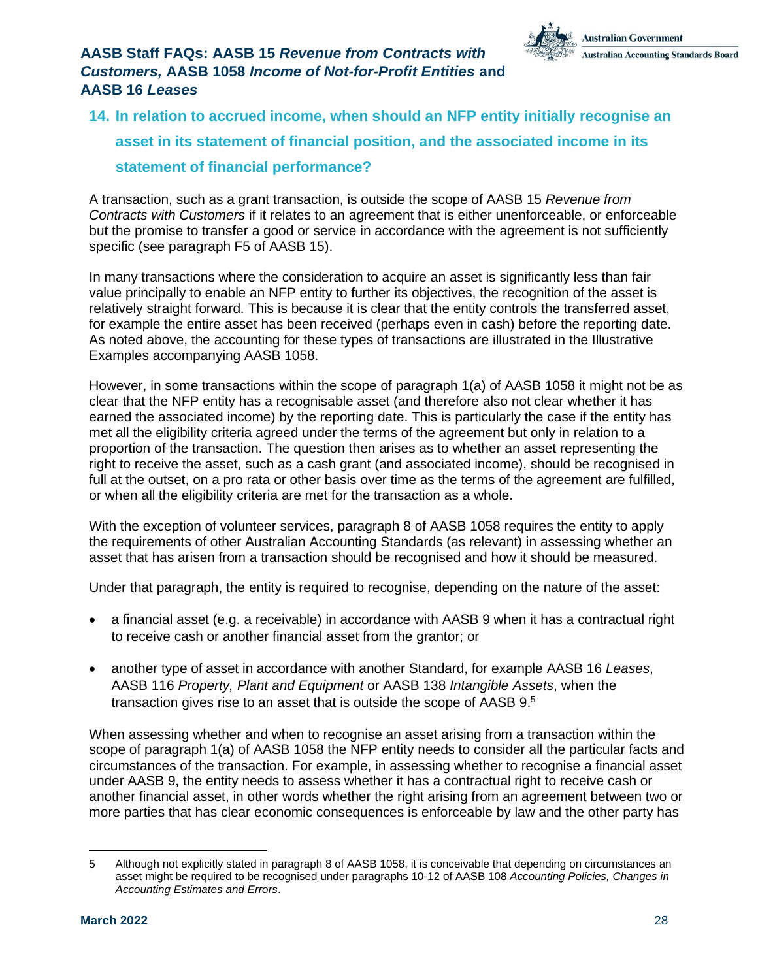

## <span id="page-27-0"></span>**14. In relation to accrued income, when should an NFP entity initially recognise an asset in its statement of financial position, and the associated income in its statement of financial performance?**

A transaction, such as a grant transaction, is outside the scope of AASB 15 *Revenue from Contracts with Customers* if it relates to an agreement that is either unenforceable, or enforceable but the promise to transfer a good or service in accordance with the agreement is not sufficiently specific (see paragraph F5 of AASB 15).

In many transactions where the consideration to acquire an asset is significantly less than fair value principally to enable an NFP entity to further its objectives, the recognition of the asset is relatively straight forward. This is because it is clear that the entity controls the transferred asset, for example the entire asset has been received (perhaps even in cash) before the reporting date. As noted above, the accounting for these types of transactions are illustrated in the Illustrative Examples accompanying AASB 1058.

However, in some transactions within the scope of paragraph 1(a) of AASB 1058 it might not be as clear that the NFP entity has a recognisable asset (and therefore also not clear whether it has earned the associated income) by the reporting date. This is particularly the case if the entity has met all the eligibility criteria agreed under the terms of the agreement but only in relation to a proportion of the transaction. The question then arises as to whether an asset representing the right to receive the asset, such as a cash grant (and associated income), should be recognised in full at the outset, on a pro rata or other basis over time as the terms of the agreement are fulfilled, or when all the eligibility criteria are met for the transaction as a whole.

With the exception of volunteer services, paragraph 8 of AASB 1058 requires the entity to apply the requirements of other Australian Accounting Standards (as relevant) in assessing whether an asset that has arisen from a transaction should be recognised and how it should be measured.

Under that paragraph, the entity is required to recognise, depending on the nature of the asset:

- a financial asset (e.g. a receivable) in accordance with AASB 9 when it has a contractual right to receive cash or another financial asset from the grantor; or
- another type of asset in accordance with another Standard, for example AASB 16 *Leases*, AASB 116 *Property, Plant and Equipment* or AASB 138 *Intangible Assets*, when the transaction gives rise to an asset that is outside the scope of AASB 9.<sup>5</sup>

When assessing whether and when to recognise an asset arising from a transaction within the scope of paragraph 1(a) of AASB 1058 the NFP entity needs to consider all the particular facts and circumstances of the transaction. For example, in assessing whether to recognise a financial asset under AASB 9, the entity needs to assess whether it has a contractual right to receive cash or another financial asset, in other words whether the right arising from an agreement between two or more parties that has clear economic consequences is enforceable by law and the other party has

<sup>5</sup> Although not explicitly stated in paragraph 8 of AASB 1058, it is conceivable that depending on circumstances an asset might be required to be recognised under paragraphs 10-12 of AASB 108 *Accounting Policies, Changes in Accounting Estimates and Errors*.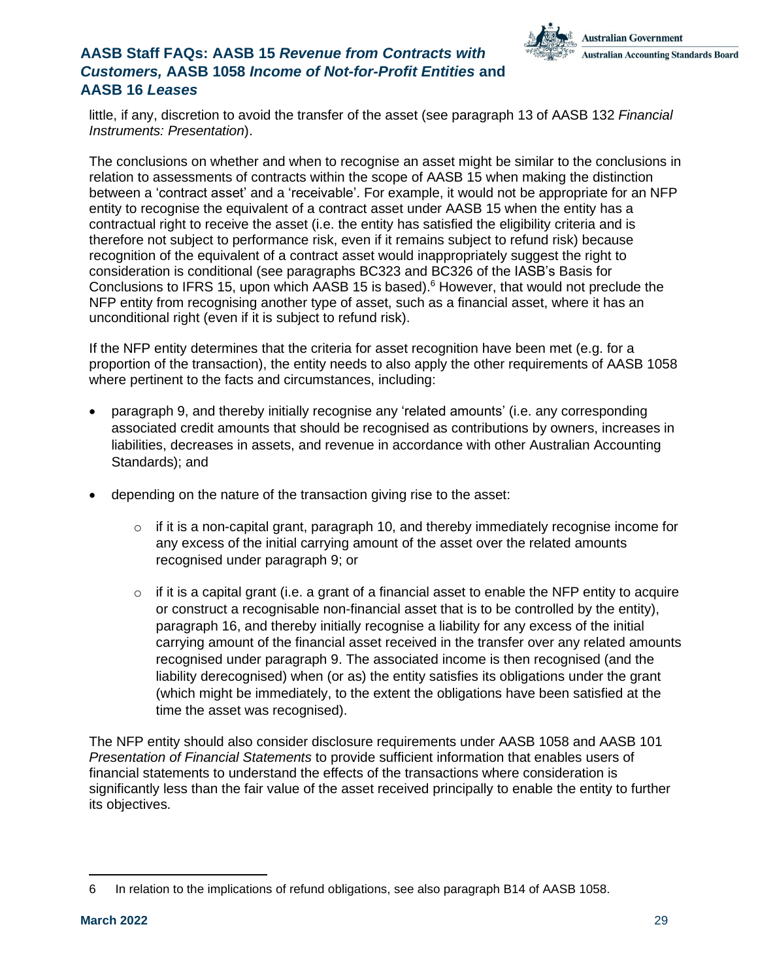

little, if any, discretion to avoid the transfer of the asset (see paragraph 13 of AASB 132 *Financial Instruments: Presentation*).

The conclusions on whether and when to recognise an asset might be similar to the conclusions in relation to assessments of contracts within the scope of AASB 15 when making the distinction between a 'contract asset' and a 'receivable'. For example, it would not be appropriate for an NFP entity to recognise the equivalent of a contract asset under AASB 15 when the entity has a contractual right to receive the asset (i.e. the entity has satisfied the eligibility criteria and is therefore not subject to performance risk, even if it remains subject to refund risk) because recognition of the equivalent of a contract asset would inappropriately suggest the right to consideration is conditional (see paragraphs BC323 and BC326 of the IASB's Basis for Conclusions to IFRS 15, upon which AASB 15 is based).<sup>6</sup> However, that would not preclude the NFP entity from recognising another type of asset, such as a financial asset, where it has an unconditional right (even if it is subject to refund risk).

If the NFP entity determines that the criteria for asset recognition have been met (e.g. for a proportion of the transaction), the entity needs to also apply the other requirements of AASB 1058 where pertinent to the facts and circumstances, including:

- paragraph 9, and thereby initially recognise any 'related amounts' (i.e. any corresponding associated credit amounts that should be recognised as contributions by owners, increases in liabilities, decreases in assets, and revenue in accordance with other Australian Accounting Standards); and
- depending on the nature of the transaction giving rise to the asset:
	- $\circ$  if it is a non-capital grant, paragraph 10, and thereby immediately recognise income for any excess of the initial carrying amount of the asset over the related amounts recognised under paragraph 9; or
	- $\circ$  if it is a capital grant (i.e. a grant of a financial asset to enable the NFP entity to acquire or construct a recognisable non-financial asset that is to be controlled by the entity), paragraph 16, and thereby initially recognise a liability for any excess of the initial carrying amount of the financial asset received in the transfer over any related amounts recognised under paragraph 9. The associated income is then recognised (and the liability derecognised) when (or as) the entity satisfies its obligations under the grant (which might be immediately, to the extent the obligations have been satisfied at the time the asset was recognised).

The NFP entity should also consider disclosure requirements under AASB 1058 and AASB 101 *Presentation of Financial Statements* to provide sufficient information that enables users of financial statements to understand the effects of the transactions where consideration is significantly less than the fair value of the asset received principally to enable the entity to further its objectives.

<sup>6</sup> In relation to the implications of refund obligations, see also paragraph B14 of AASB 1058.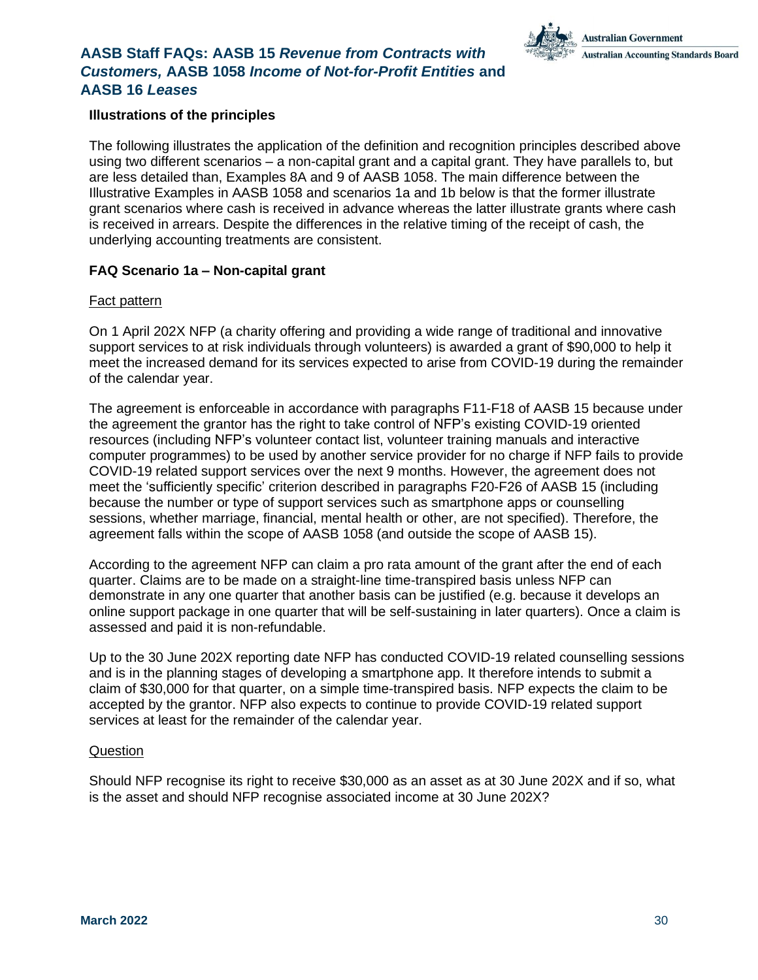#### **Illustrations of the principles**

The following illustrates the application of the definition and recognition principles described above using two different scenarios – a non-capital grant and a capital grant. They have parallels to, but are less detailed than, Examples 8A and 9 of AASB 1058. The main difference between the Illustrative Examples in AASB 1058 and scenarios 1a and 1b below is that the former illustrate grant scenarios where cash is received in advance whereas the latter illustrate grants where cash is received in arrears. Despite the differences in the relative timing of the receipt of cash, the underlying accounting treatments are consistent.

#### **FAQ Scenario 1a – Non-capital grant**

#### Fact pattern

On 1 April 202X NFP (a charity offering and providing a wide range of traditional and innovative support services to at risk individuals through volunteers) is awarded a grant of \$90,000 to help it meet the increased demand for its services expected to arise from COVID-19 during the remainder of the calendar year.

The agreement is enforceable in accordance with paragraphs F11-F18 of AASB 15 because under the agreement the grantor has the right to take control of NFP's existing COVID-19 oriented resources (including NFP's volunteer contact list, volunteer training manuals and interactive computer programmes) to be used by another service provider for no charge if NFP fails to provide COVID-19 related support services over the next 9 months. However, the agreement does not meet the 'sufficiently specific' criterion described in paragraphs F20-F26 of AASB 15 (including because the number or type of support services such as smartphone apps or counselling sessions, whether marriage, financial, mental health or other, are not specified). Therefore, the agreement falls within the scope of AASB 1058 (and outside the scope of AASB 15).

According to the agreement NFP can claim a pro rata amount of the grant after the end of each quarter. Claims are to be made on a straight-line time-transpired basis unless NFP can demonstrate in any one quarter that another basis can be justified (e.g. because it develops an online support package in one quarter that will be self-sustaining in later quarters). Once a claim is assessed and paid it is non-refundable.

Up to the 30 June 202X reporting date NFP has conducted COVID-19 related counselling sessions and is in the planning stages of developing a smartphone app. It therefore intends to submit a claim of \$30,000 for that quarter, on a simple time-transpired basis. NFP expects the claim to be accepted by the grantor. NFP also expects to continue to provide COVID-19 related support services at least for the remainder of the calendar year.

#### Question

Should NFP recognise its right to receive \$30,000 as an asset as at 30 June 202X and if so, what is the asset and should NFP recognise associated income at 30 June 202X?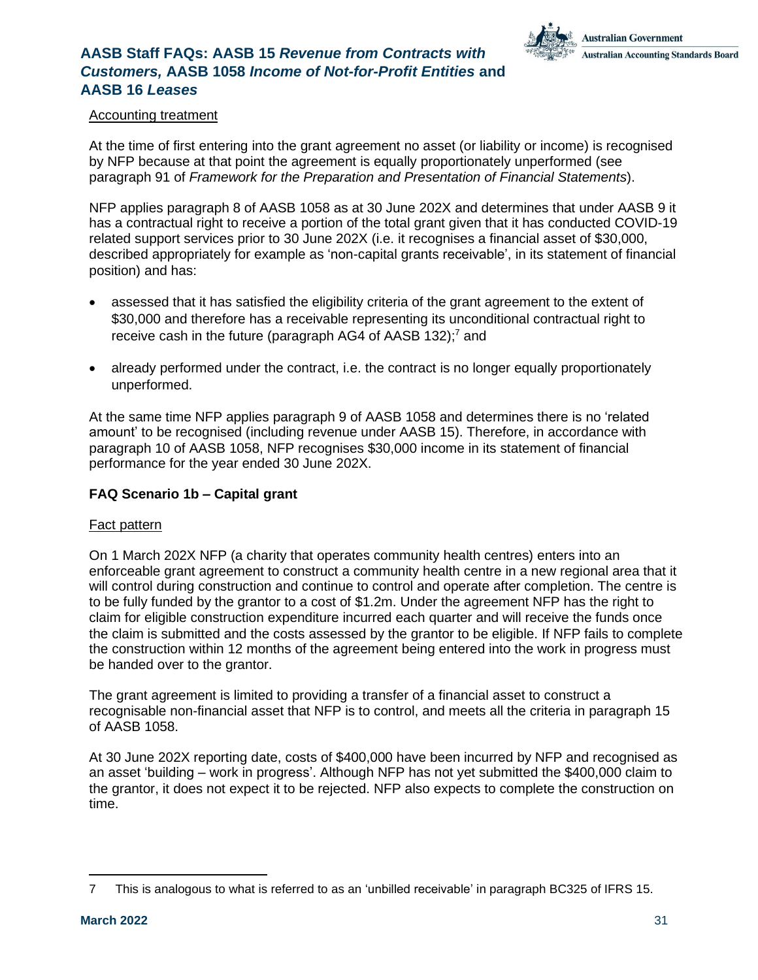

#### Accounting treatment

At the time of first entering into the grant agreement no asset (or liability or income) is recognised by NFP because at that point the agreement is equally proportionately unperformed (see paragraph 91 of *Framework for the Preparation and Presentation of Financial Statements*).

NFP applies paragraph 8 of AASB 1058 as at 30 June 202X and determines that under AASB 9 it has a contractual right to receive a portion of the total grant given that it has conducted COVID-19 related support services prior to 30 June 202X (i.e. it recognises a financial asset of \$30,000, described appropriately for example as 'non-capital grants receivable', in its statement of financial position) and has:

- assessed that it has satisfied the eligibility criteria of the grant agreement to the extent of \$30,000 and therefore has a receivable representing its unconditional contractual right to receive cash in the future (paragraph AG4 of AASB 132):<sup>7</sup> and
- already performed under the contract, i.e. the contract is no longer equally proportionately unperformed.

At the same time NFP applies paragraph 9 of AASB 1058 and determines there is no 'related amount' to be recognised (including revenue under AASB 15). Therefore, in accordance with paragraph 10 of AASB 1058, NFP recognises \$30,000 income in its statement of financial performance for the year ended 30 June 202X.

#### **FAQ Scenario 1b – Capital grant**

#### Fact pattern

On 1 March 202X NFP (a charity that operates community health centres) enters into an enforceable grant agreement to construct a community health centre in a new regional area that it will control during construction and continue to control and operate after completion. The centre is to be fully funded by the grantor to a cost of \$1.2m. Under the agreement NFP has the right to claim for eligible construction expenditure incurred each quarter and will receive the funds once the claim is submitted and the costs assessed by the grantor to be eligible. If NFP fails to complete the construction within 12 months of the agreement being entered into the work in progress must be handed over to the grantor.

The grant agreement is limited to providing a transfer of a financial asset to construct a recognisable non-financial asset that NFP is to control, and meets all the criteria in paragraph 15 of AASB 1058.

At 30 June 202X reporting date, costs of \$400,000 have been incurred by NFP and recognised as an asset 'building – work in progress'. Although NFP has not yet submitted the \$400,000 claim to the grantor, it does not expect it to be rejected. NFP also expects to complete the construction on time.

<sup>7</sup> This is analogous to what is referred to as an 'unbilled receivable' in paragraph BC325 of IFRS 15.